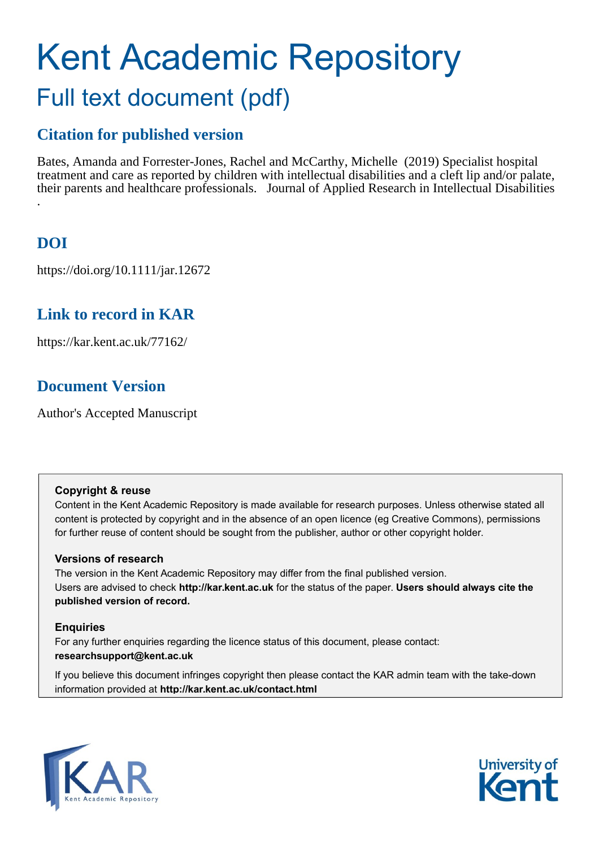# Kent Academic Repository Full text document (pdf)

## **Citation for published version**

Bates, Amanda and Forrester-Jones, Rachel and McCarthy, Michelle (2019) Specialist hospital treatment and care as reported by children with intellectual disabilities and a cleft lip and/or palate, their parents and healthcare professionals. Journal of Applied Research in Intellectual Disabilities .

# **DOI**

https://doi.org/10.1111/jar.12672

# **Link to record in KAR**

https://kar.kent.ac.uk/77162/

## **Document Version**

Author's Accepted Manuscript

#### **Copyright & reuse**

Content in the Kent Academic Repository is made available for research purposes. Unless otherwise stated all content is protected by copyright and in the absence of an open licence (eg Creative Commons), permissions for further reuse of content should be sought from the publisher, author or other copyright holder.

#### **Versions of research**

The version in the Kent Academic Repository may differ from the final published version. Users are advised to check **http://kar.kent.ac.uk** for the status of the paper. **Users should always cite the published version of record.**

#### **Enquiries**

For any further enquiries regarding the licence status of this document, please contact: **researchsupport@kent.ac.uk**

If you believe this document infringes copyright then please contact the KAR admin team with the take-down information provided at **http://kar.kent.ac.uk/contact.html**



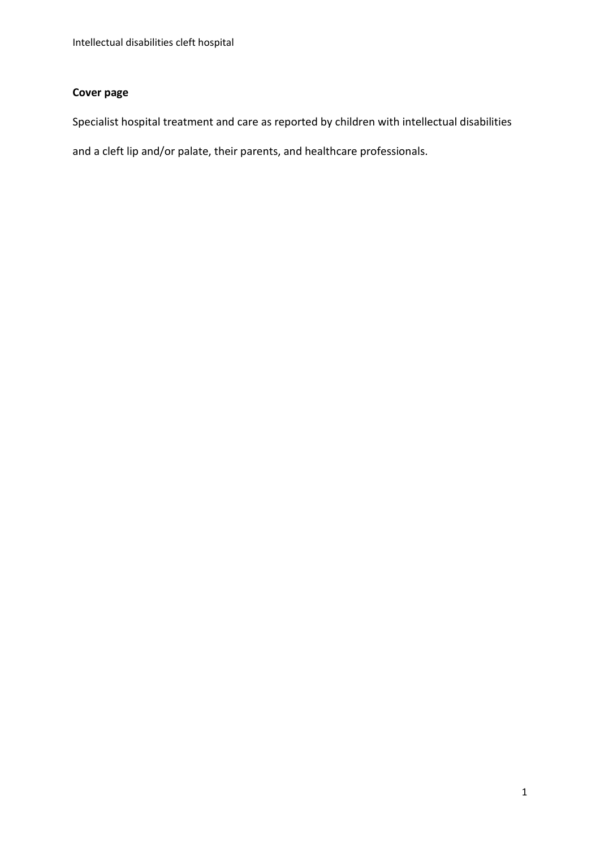#### **Cover page**

Specialist hospital treatment and care as reported by children with intellectual disabilities

and a cleft lip and/or palate, their parents, and healthcare professionals.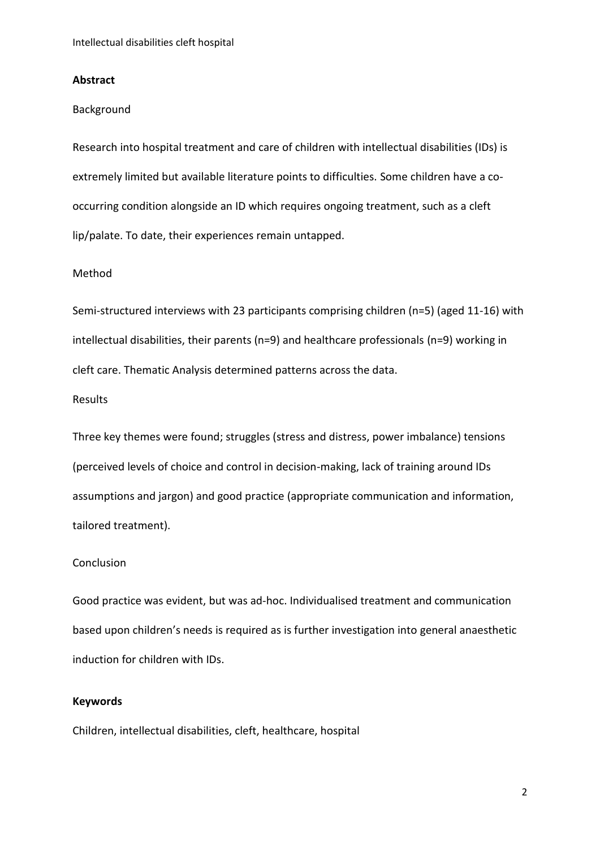#### **Abstract**

#### Background

Research into hospital treatment and care of children with intellectual disabilities (IDs) is extremely limited but available literature points to difficulties. Some children have a cooccurring condition alongside an ID which requires ongoing treatment, such as a cleft lip/palate. To date, their experiences remain untapped.

#### Method

Semi-structured interviews with 23 participants comprising children (n=5) (aged 11-16) with intellectual disabilities, their parents (n=9) and healthcare professionals (n=9) working in cleft care. Thematic Analysis determined patterns across the data.

#### Results

Three key themes were found; struggles (stress and distress, power imbalance) tensions (perceived levels of choice and control in decision-making, lack of training around IDs assumptions and jargon) and good practice (appropriate communication and information, tailored treatment).

#### Conclusion

Good practice was evident, but was ad-hoc. Individualised treatment and communication based upon children's needs is required as is further investigation into general anaesthetic induction for children with IDs.

#### **Keywords**

Children, intellectual disabilities, cleft, healthcare, hospital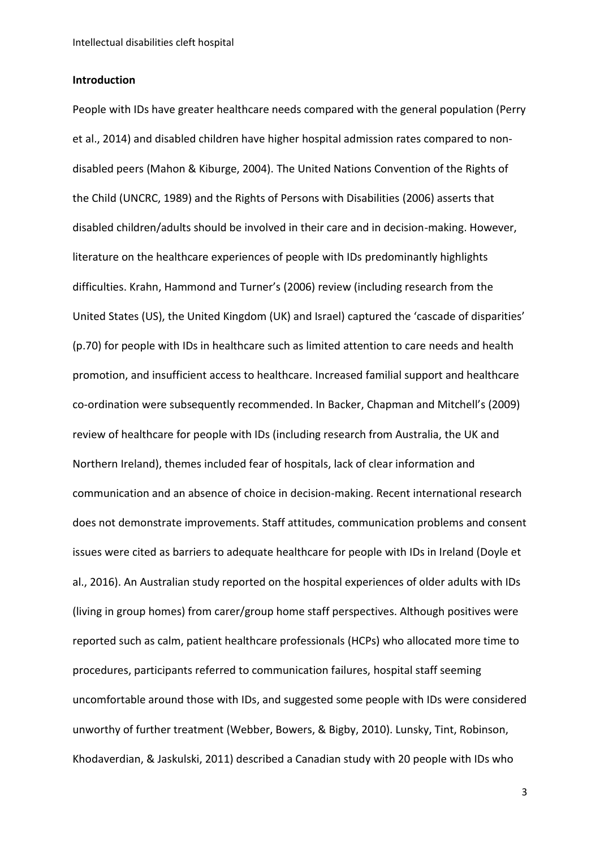#### **Introduction**

People with IDs have greater healthcare needs compared with the general population (Perry et al., 2014) and disabled children have higher hospital admission rates compared to nondisabled peers (Mahon & Kiburge, 2004). The United Nations Convention of the Rights of the Child (UNCRC, 1989) and the Rights of Persons with Disabilities (2006) asserts that disabled children/adults should be involved in their care and in decision-making. However, literature on the healthcare experiences of people with IDs predominantly highlights difficulties. Krahn, Hammond and Turner's (2006) review (including research from the United States (US), the United Kingdom (UK) and Israel) captured the 'cascade of disparities' (p.70) for people with IDs in healthcare such as limited attention to care needs and health promotion, and insufficient access to healthcare. Increased familial support and healthcare co-ordination were subsequently recommended. In Backer, Chapman and Mitchell's (2009) review of healthcare for people with IDs (including research from Australia, the UK and Northern Ireland), themes included fear of hospitals, lack of clear information and communication and an absence of choice in decision-making. Recent international research does not demonstrate improvements. Staff attitudes, communication problems and consent issues were cited as barriers to adequate healthcare for people with IDs in Ireland (Doyle et al., 2016). An Australian study reported on the hospital experiences of older adults with IDs (living in group homes) from carer/group home staff perspectives. Although positives were reported such as calm, patient healthcare professionals (HCPs) who allocated more time to procedures, participants referred to communication failures, hospital staff seeming uncomfortable around those with IDs, and suggested some people with IDs were considered unworthy of further treatment (Webber, Bowers, & Bigby, 2010). Lunsky, Tint, Robinson, Khodaverdian, & Jaskulski, 2011) described a Canadian study with 20 people with IDs who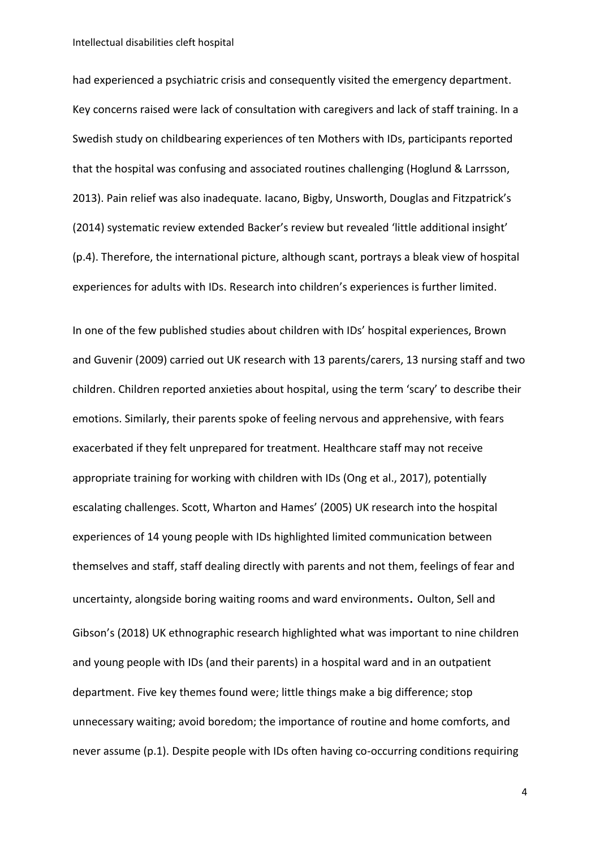Intellectual disabilities cleft hospital

had experienced a psychiatric crisis and consequently visited the emergency department. Key concerns raised were lack of consultation with caregivers and lack of staff training. In a Swedish study on childbearing experiences of ten Mothers with IDs, participants reported that the hospital was confusing and associated routines challenging (Hoglund & Larrsson, 2013). Pain relief was also inadequate. Iacano, Bigby, Unsworth, Douglas and Fitzpatrick's (2014) systematic review extended Backer's review but revealed 'little additional insight' (p.4). Therefore, the international picture, although scant, portrays a bleak view of hospital experiences for adults with IDs. Research into children's experiences is further limited.

In one of the few published studies about children with IDs' hospital experiences, Brown and Guvenir (2009) carried out UK research with 13 parents/carers, 13 nursing staff and two children. Children reported anxieties about hospital, using the term 'scary' to describe their emotions. Similarly, their parents spoke of feeling nervous and apprehensive, with fears exacerbated if they felt unprepared for treatment. Healthcare staff may not receive appropriate training for working with children with IDs (Ong et al., 2017), potentially escalating challenges. Scott, Wharton and Hames' (2005) UK research into the hospital experiences of 14 young people with IDs highlighted limited communication between themselves and staff, staff dealing directly with parents and not them, feelings of fear and uncertainty, alongside boring waiting rooms and ward environments. Oulton, Sell and Gibson's (2018) UK ethnographic research highlighted what was important to nine children and young people with IDs (and their parents) in a hospital ward and in an outpatient department. Five key themes found were; little things make a big difference; stop unnecessary waiting; avoid boredom; the importance of routine and home comforts, and never assume (p.1). Despite people with IDs often having co-occurring conditions requiring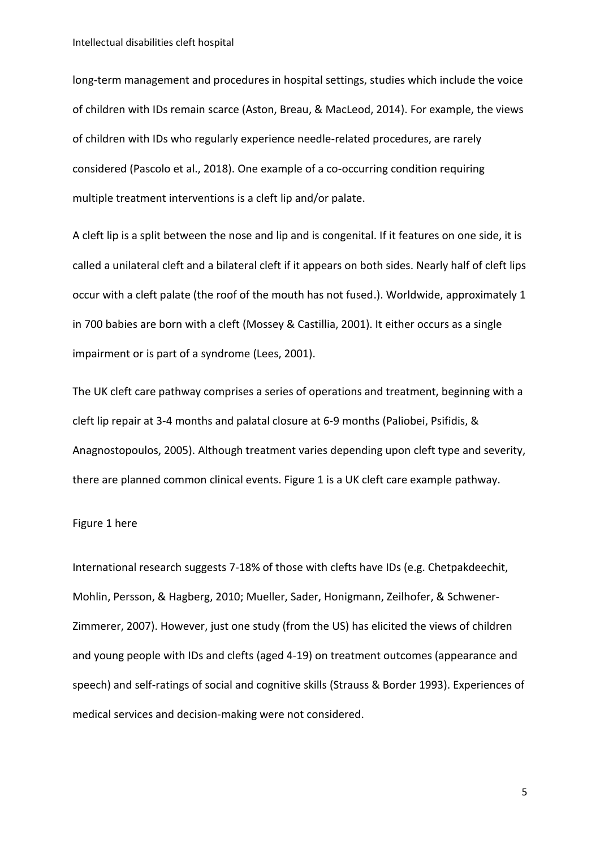long-term management and procedures in hospital settings, studies which include the voice of children with IDs remain scarce (Aston, Breau, & MacLeod, 2014). For example, the views of children with IDs who regularly experience needle-related procedures, are rarely considered (Pascolo et al., 2018). One example of a co-occurring condition requiring multiple treatment interventions is a cleft lip and/or palate.

A cleft lip is a split between the nose and lip and is congenital. If it features on one side, it is called a unilateral cleft and a bilateral cleft if it appears on both sides. Nearly half of cleft lips occur with a cleft palate (the roof of the mouth has not fused.). Worldwide, approximately 1 in 700 babies are born with a cleft (Mossey & Castillia, 2001). It either occurs as a single impairment or is part of a syndrome (Lees, 2001).

The UK cleft care pathway comprises a series of operations and treatment, beginning with a cleft lip repair at 3-4 months and palatal closure at 6-9 months (Paliobei, Psifidis, & Anagnostopoulos, 2005). Although treatment varies depending upon cleft type and severity, there are planned common clinical events. Figure 1 is a UK cleft care example pathway.

#### Figure 1 here

International research suggests 7-18% of those with clefts have IDs (e.g. Chetpakdeechit, Mohlin, Persson, & Hagberg, 2010; Mueller, Sader, Honigmann, Zeilhofer, & Schwener-Zimmerer, 2007). However, just one study (from the US) has elicited the views of children and young people with IDs and clefts (aged 4-19) on treatment outcomes (appearance and speech) and self-ratings of social and cognitive skills (Strauss & Border 1993). Experiences of medical services and decision-making were not considered.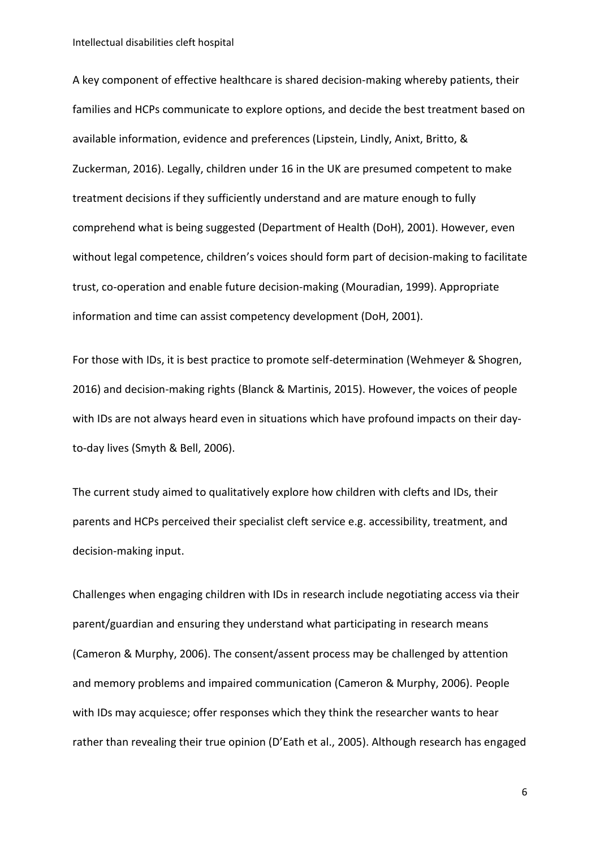Intellectual disabilities cleft hospital

A key component of effective healthcare is shared decision-making whereby patients, their families and HCPs communicate to explore options, and decide the best treatment based on available information, evidence and preferences (Lipstein, Lindly, Anixt, Britto, & Zuckerman, 2016). Legally, children under 16 in the UK are presumed competent to make treatment decisions if they sufficiently understand and are mature enough to fully comprehend what is being suggested (Department of Health (DoH), 2001). However, even without legal competence, children's voices should form part of decision-making to facilitate trust, co-operation and enable future decision-making (Mouradian, 1999). Appropriate information and time can assist competency development (DoH, 2001).

For those with IDs, it is best practice to promote self-determination (Wehmeyer & Shogren, 2016) and decision-making rights (Blanck & Martinis, 2015). However, the voices of people with IDs are not always heard even in situations which have profound impacts on their dayto-day lives (Smyth & Bell, 2006).

The current study aimed to qualitatively explore how children with clefts and IDs, their parents and HCPs perceived their specialist cleft service e.g. accessibility, treatment, and decision-making input.

Challenges when engaging children with IDs in research include negotiating access via their parent/guardian and ensuring they understand what participating in research means (Cameron & Murphy, 2006). The consent/assent process may be challenged by attention and memory problems and impaired communication (Cameron & Murphy, 2006). People with IDs may acquiesce; offer responses which they think the researcher wants to hear rather than revealing their true opinion (D'Eath et al., 2005). Although research has engaged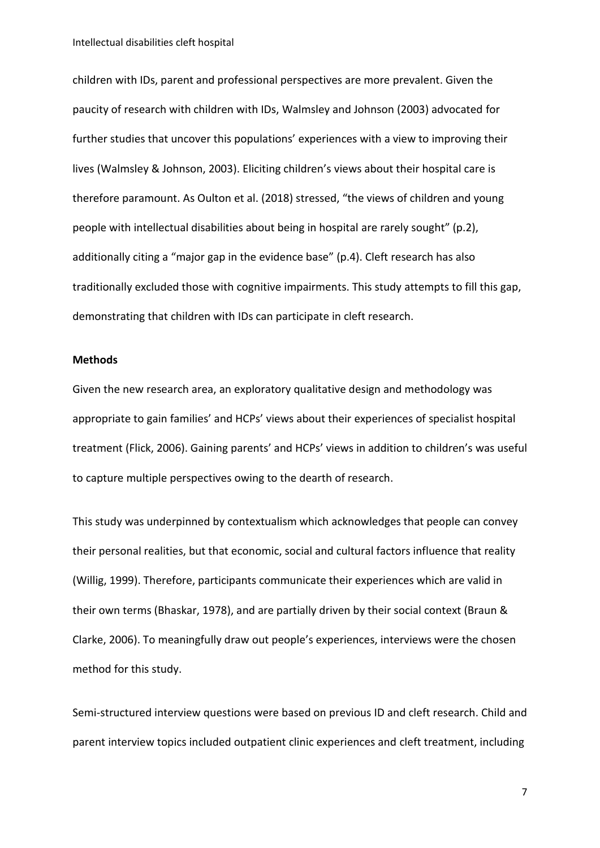children with IDs, parent and professional perspectives are more prevalent. Given the paucity of research with children with IDs, Walmsley and Johnson (2003) advocated for further studies that uncover this populations' experiences with a view to improving their lives (Walmsley & Johnson, 2003). Eliciting children's views about their hospital care is therefore paramount. As Oulton et al. (2018) stressed, "the views of children and young people with intellectual disabilities about being in hospital are rarely sought" (p.2), additionally citing a "major gap in the evidence base" (p.4). Cleft research has also traditionally excluded those with cognitive impairments. This study attempts to fill this gap, demonstrating that children with IDs can participate in cleft research.

#### **Methods**

Given the new research area, an exploratory qualitative design and methodology was appropriate to gain families' and HCPs' views about their experiences of specialist hospital treatment (Flick, 2006). Gaining parents' and HCPs' views in addition to children's was useful to capture multiple perspectives owing to the dearth of research.

This study was underpinned by contextualism which acknowledges that people can convey their personal realities, but that economic, social and cultural factors influence that reality (Willig, 1999). Therefore, participants communicate their experiences which are valid in their own terms (Bhaskar, 1978), and are partially driven by their social context (Braun & Clarke, 2006). To meaningfully draw out people's experiences, interviews were the chosen method for this study.

Semi-structured interview questions were based on previous ID and cleft research. Child and parent interview topics included outpatient clinic experiences and cleft treatment, including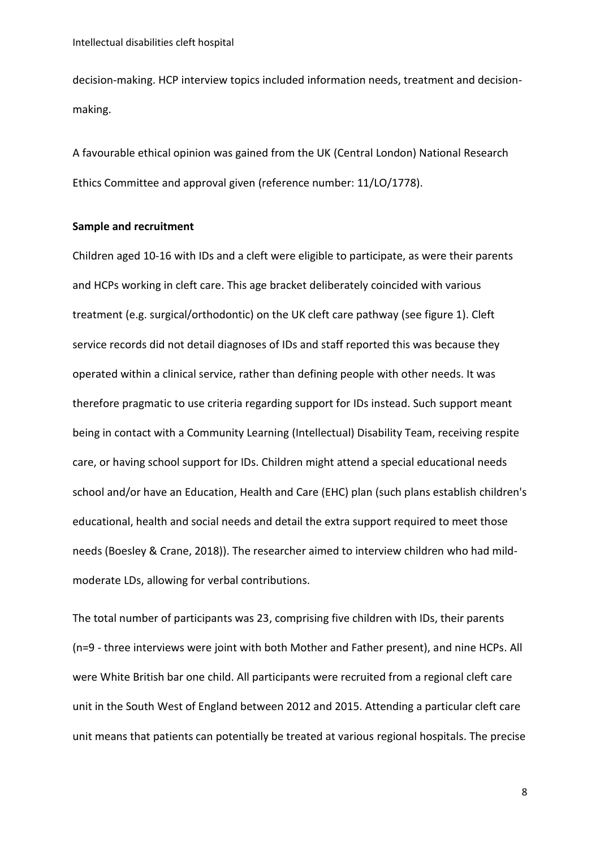decision-making. HCP interview topics included information needs, treatment and decisionmaking.

A favourable ethical opinion was gained from the UK (Central London) National Research Ethics Committee and approval given (reference number: 11/LO/1778).

#### **Sample and recruitment**

Children aged 10-16 with IDs and a cleft were eligible to participate, as were their parents and HCPs working in cleft care. This age bracket deliberately coincided with various treatment (e.g. surgical/orthodontic) on the UK cleft care pathway (see figure 1). Cleft service records did not detail diagnoses of IDs and staff reported this was because they operated within a clinical service, rather than defining people with other needs. It was therefore pragmatic to use criteria regarding support for IDs instead. Such support meant being in contact with a Community Learning (Intellectual) Disability Team, receiving respite care, or having school support for IDs. Children might attend a special educational needs school and/or have an Education, Health and Care (EHC) plan (such plans establish children's educational, health and social needs and detail the extra support required to meet those needs (Boesley & Crane, 2018)). The researcher aimed to interview children who had mildmoderate LDs, allowing for verbal contributions.

The total number of participants was 23, comprising five children with IDs, their parents (n=9 - three interviews were joint with both Mother and Father present), and nine HCPs. All were White British bar one child. All participants were recruited from a regional cleft care unit in the South West of England between 2012 and 2015. Attending a particular cleft care unit means that patients can potentially be treated at various regional hospitals. The precise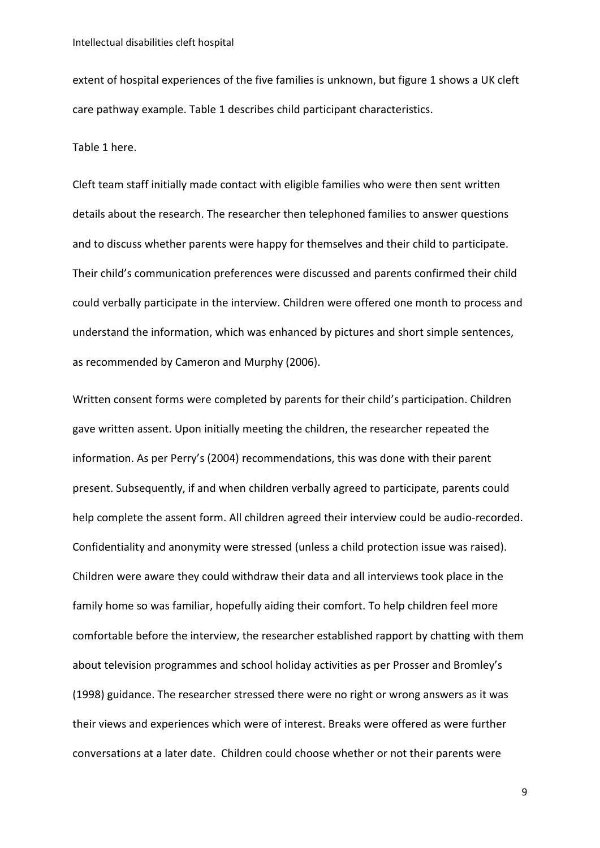extent of hospital experiences of the five families is unknown, but figure 1 shows a UK cleft care pathway example. Table 1 describes child participant characteristics.

Table 1 here.

Cleft team staff initially made contact with eligible families who were then sent written details about the research. The researcher then telephoned families to answer questions and to discuss whether parents were happy for themselves and their child to participate. Their child's communication preferences were discussed and parents confirmed their child could verbally participate in the interview. Children were offered one month to process and understand the information, which was enhanced by pictures and short simple sentences, as recommended by Cameron and Murphy (2006).

Written consent forms were completed by parents for their child's participation. Children gave written assent. Upon initially meeting the children, the researcher repeated the information. As per Perry's (2004) recommendations, this was done with their parent present. Subsequently, if and when children verbally agreed to participate, parents could help complete the assent form. All children agreed their interview could be audio-recorded. Confidentiality and anonymity were stressed (unless a child protection issue was raised). Children were aware they could withdraw their data and all interviews took place in the family home so was familiar, hopefully aiding their comfort. To help children feel more comfortable before the interview, the researcher established rapport by chatting with them about television programmes and school holiday activities as per Prosser and Bromley's (1998) guidance. The researcher stressed there were no right or wrong answers as it was their views and experiences which were of interest. Breaks were offered as were further conversations at a later date. Children could choose whether or not their parents were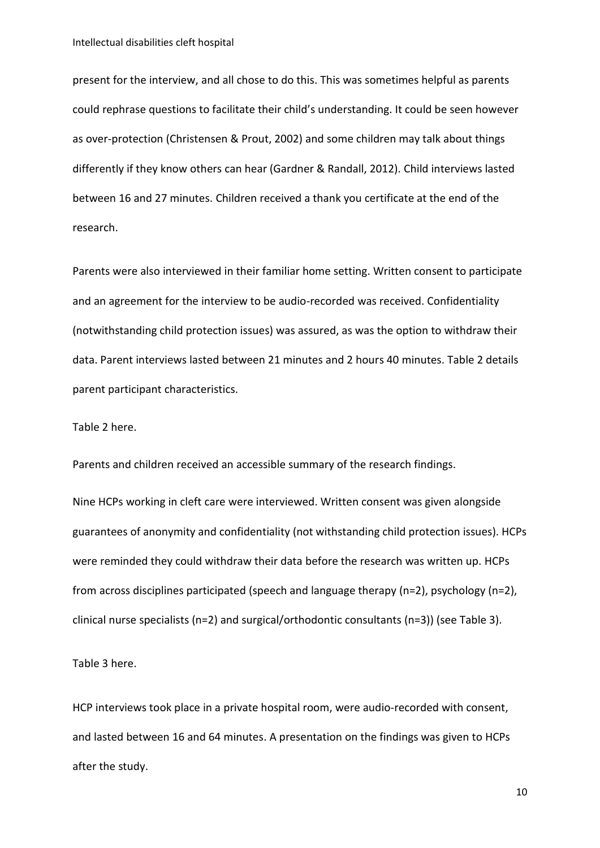present for the interview, and all chose to do this. This was sometimes helpful as parents could rephrase questions to facilitate their child's understanding. It could be seen however as over-protection (Christensen & Prout, 2002) and some children may talk about things differently if they know others can hear (Gardner & Randall, 2012). Child interviews lasted between 16 and 27 minutes. Children received a thank you certificate at the end of the research.

Parents were also interviewed in their familiar home setting. Written consent to participate and an agreement for the interview to be audio-recorded was received. Confidentiality (notwithstanding child protection issues) was assured, as was the option to withdraw their data. Parent interviews lasted between 21 minutes and 2 hours 40 minutes. Table 2 details parent participant characteristics.

Table 2 here.

Parents and children received an accessible summary of the research findings.

Nine HCPs working in cleft care were interviewed. Written consent was given alongside guarantees of anonymity and confidentiality (not withstanding child protection issues). HCPs were reminded they could withdraw their data before the research was written up. HCPs from across disciplines participated (speech and language therapy (n=2), psychology (n=2), clinical nurse specialists (n=2) and surgical/orthodontic consultants (n=3)) (see Table 3).

Table 3 here.

HCP interviews took place in a private hospital room, were audio-recorded with consent, and lasted between 16 and 64 minutes. A presentation on the findings was given to HCPs after the study.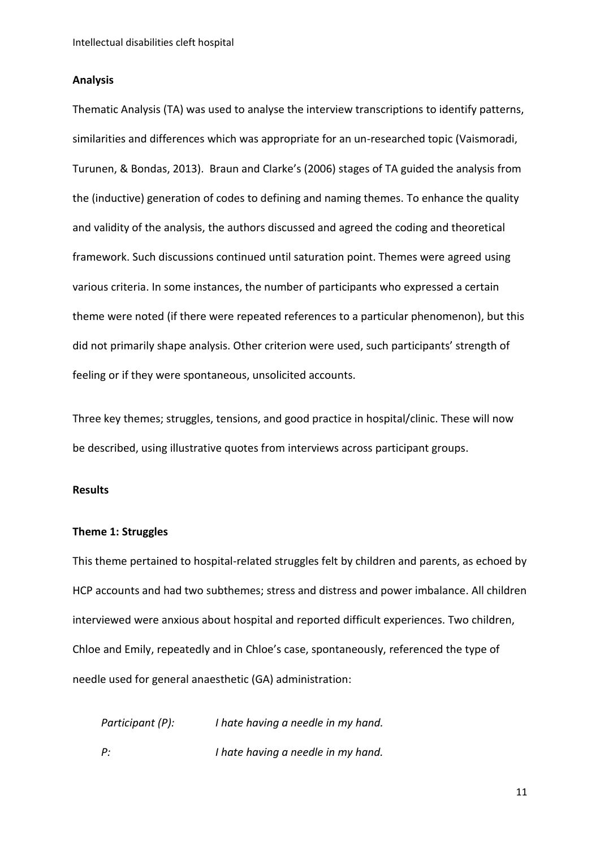#### **Analysis**

Thematic Analysis (TA) was used to analyse the interview transcriptions to identify patterns, similarities and differences which was appropriate for an un-researched topic (Vaismoradi, Turunen, & Bondas, 2013). Braun and Clarke's (2006) stages of TA guided the analysis from the (inductive) generation of codes to defining and naming themes. To enhance the quality and validity of the analysis, the authors discussed and agreed the coding and theoretical framework. Such discussions continued until saturation point. Themes were agreed using various criteria. In some instances, the number of participants who expressed a certain theme were noted (if there were repeated references to a particular phenomenon), but this did not primarily shape analysis. Other criterion were used, such participants' strength of feeling or if they were spontaneous, unsolicited accounts.

Three key themes; struggles, tensions, and good practice in hospital/clinic. These will now be described, using illustrative quotes from interviews across participant groups.

#### **Results**

#### **Theme 1: Struggles**

This theme pertained to hospital-related struggles felt by children and parents, as echoed by HCP accounts and had two subthemes; stress and distress and power imbalance. All children interviewed were anxious about hospital and reported difficult experiences. Two children, Chloe and Emily, repeatedly and in Chloe's case, spontaneously, referenced the type of needle used for general anaesthetic (GA) administration:

*Participant (P): I hate having a needle in my hand. P: I hate having a needle in my hand.*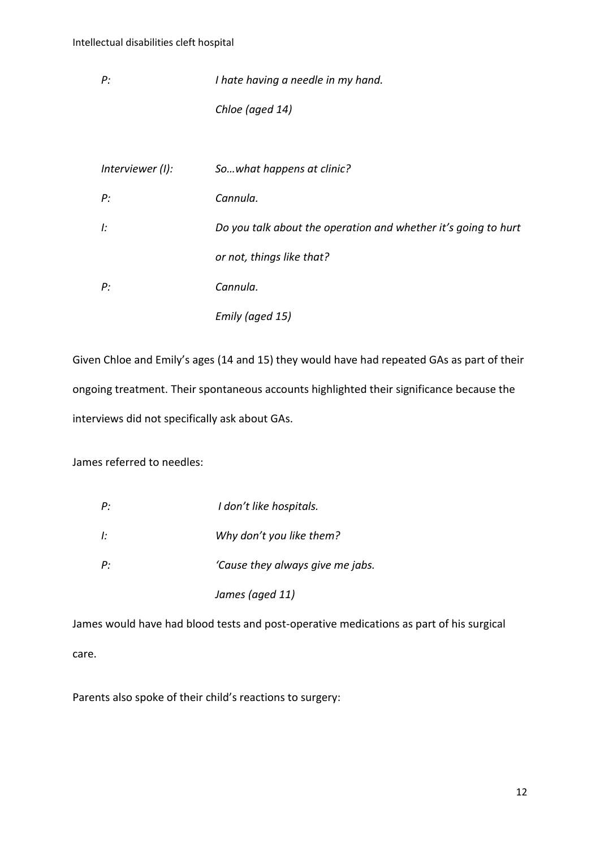*P: I hate having a needle in my hand. Chloe (aged 14)*

| Interviewer (I): | So what happens at clinic?                                     |
|------------------|----------------------------------------------------------------|
| P:               | Cannula.                                                       |
| l:               | Do you talk about the operation and whether it's going to hurt |
|                  | or not, things like that?                                      |
| P:               | Cannula.                                                       |
|                  | Emily (aged 15)                                                |

Given Chloe and Emily's ages (14 and 15) they would have had repeated GAs as part of their ongoing treatment. Their spontaneous accounts highlighted their significance because the interviews did not specifically ask about GAs.

James referred to needles:

| P: | I don't like hospitals.          |
|----|----------------------------------|
| Ŀ. | Why don't you like them?         |
| P: | 'Cause they always give me jabs. |
|    | James (aged 11)                  |

James would have had blood tests and post-operative medications as part of his surgical care.

Parents also spoke of their child's reactions to surgery: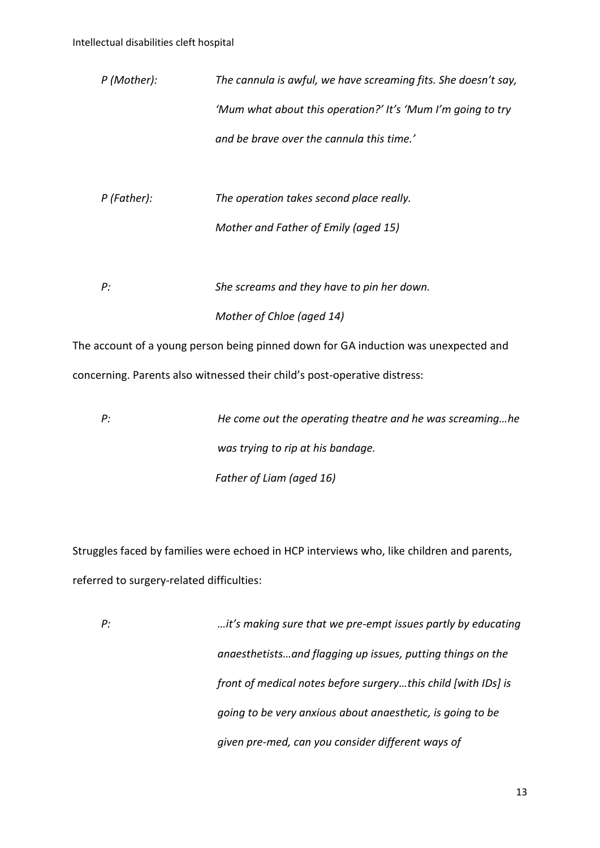| P (Mother): | The cannula is awful, we have screaming fits. She doesn't say, |
|-------------|----------------------------------------------------------------|
|             | 'Mum what about this operation?' It's 'Mum I'm going to try    |
|             | and be brave over the cannula this time.'                      |

- *P (Father): The operation takes second place really. Mother and Father of Emily (aged 15)*
- *P: She screams and they have to pin her down. Mother of Chloe (aged 14)*

The account of a young person being pinned down for GA induction was unexpected and concerning. Parents also witnessed their child's post-operative distress:

*P: He come out the operating theatre and he was screaming…he was trying to rip at his bandage. Father of Liam (aged 16)*

Struggles faced by families were echoed in HCP interviews who, like children and parents, referred to surgery-related difficulties:

*P: …it's making sure that we pre-empt issues partly by educating anaesthetists…and flagging up issues, putting things on the front of medical notes before surgery…this child [with IDs] is going to be very anxious about anaesthetic, is going to be given pre-med, can you consider different ways of*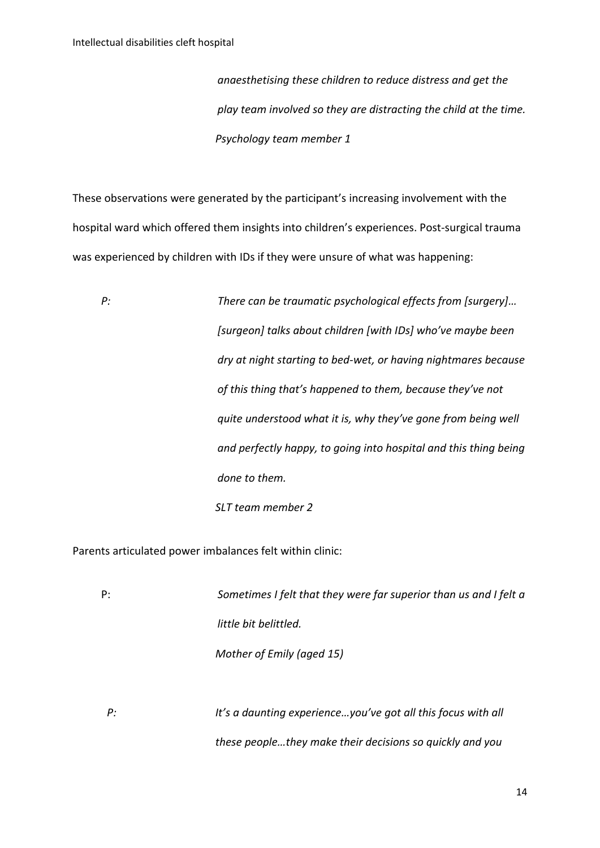*anaesthetising these children to reduce distress and get the play team involved so they are distracting the child at the time. Psychology team member 1*

These observations were generated by the participant's increasing involvement with the hospital ward which offered them insights into children's experiences. Post-surgical trauma was experienced by children with IDs if they were unsure of what was happening:

*P: There can be traumatic psychological effects from [surgery]… [surgeon] talks about children [with IDs] who've maybe been dry at night starting to bed-wet, or having nightmares because of this thing that's happened to them, because they've not quite understood what it is, why they've gone from being well and perfectly happy, to going into hospital and this thing being done to them. SLT team member 2*

Parents articulated power imbalances felt within clinic:

P: *Sometimes I felt that they were far superior than us and I felt a little bit belittled. Mother of Emily (aged 15) P: It's a daunting experience…you've got all this focus with all these people…they make their decisions so quickly and you*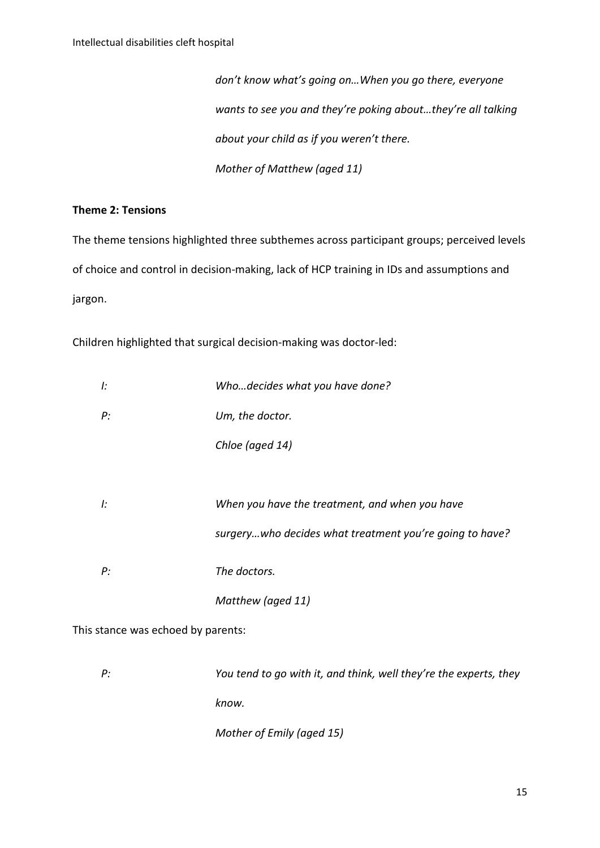*don't know what's going on…When you go there, everyone wants to see you and they're poking about…they're all talking about your child as if you weren't there. Mother of Matthew (aged 11)*

#### **Theme 2: Tensions**

The theme tensions highlighted three subthemes across participant groups; perceived levels of choice and control in decision-making, lack of HCP training in IDs and assumptions and jargon.

Children highlighted that surgical decision-making was doctor-led:

| l: | Whodecides what you have done?                           |
|----|----------------------------------------------------------|
| P: | Um, the doctor.                                          |
|    | Chloe (aged 14)                                          |
|    |                                                          |
| I: | When you have the treatment, and when you have           |
|    | surgery who decides what treatment you're going to have? |
| P: | The doctors.                                             |
|    | Matthew (aged 11)                                        |

This stance was echoed by parents:

*P: You tend to go with it, and think, well they're the experts, they know.*

*Mother of Emily (aged 15)*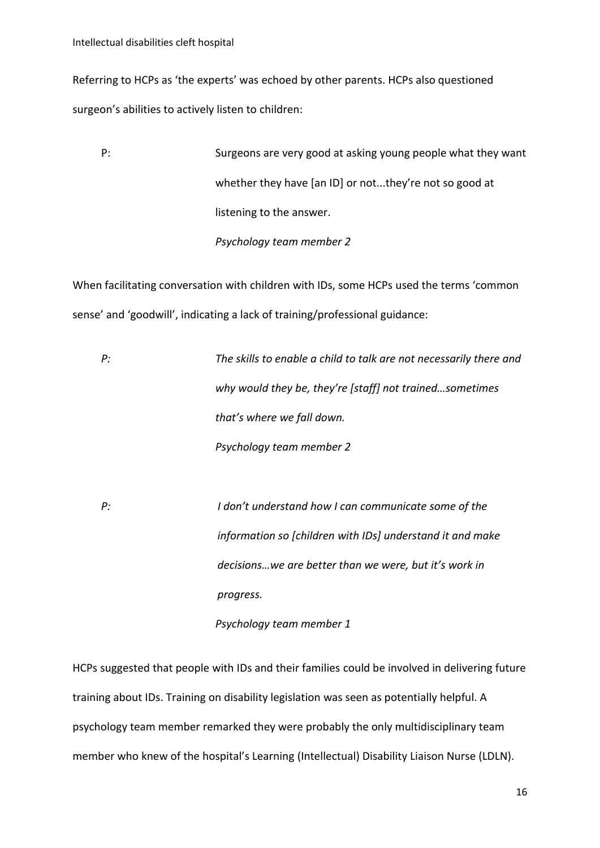Referring to HCPs as 'the experts' was echoed by other parents. HCPs also questioned surgeon's abilities to actively listen to children:

P: Surgeons are very good at asking young people what they want whether they have [an ID] or not...they're not so good at listening to the answer. *Psychology team member 2*

When facilitating conversation with children with IDs, some HCPs used the terms 'common sense' and 'goodwill', indicating a lack of training/professional guidance:

*P: The skills to enable a child to talk are not necessarily there and why would they be, they're [staff] not trained…sometimes that's where we fall down. Psychology team member 2*

*P: I don't understand how I can communicate some of the information so [children with IDs] understand it and make decisions…we are better than we were, but it's work in progress.*

*Psychology team member 1*

HCPs suggested that people with IDs and their families could be involved in delivering future training about IDs. Training on disability legislation was seen as potentially helpful. A psychology team member remarked they were probably the only multidisciplinary team member who knew of the hospital's Learning (Intellectual) Disability Liaison Nurse (LDLN).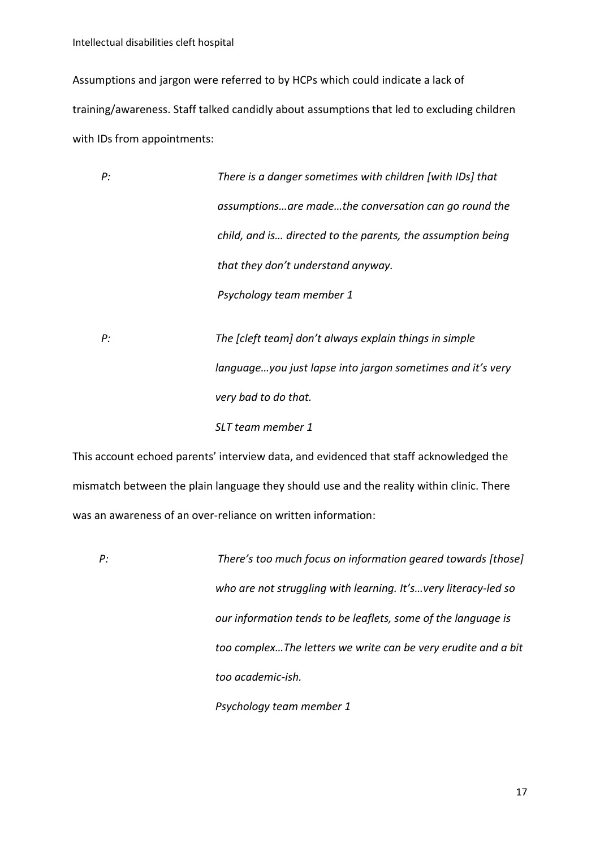Intellectual disabilities cleft hospital

Assumptions and jargon were referred to by HCPs which could indicate a lack of training/awareness. Staff talked candidly about assumptions that led to excluding children with IDs from appointments:

| P: | There is a danger sometimes with children [with IDs] that   |
|----|-------------------------------------------------------------|
|    | assumptionsare madethe conversation can go round the        |
|    | child, and is directed to the parents, the assumption being |
|    | that they don't understand anyway.                          |
|    | Psychology team member 1                                    |
|    |                                                             |
| P: | The [cleft team] don't always explain things in simple      |
|    | languageyou just lapse into jargon sometimes and it's very  |
|    | very bad to do that.                                        |
|    | SLT team member 1                                           |

This account echoed parents' interview data, and evidenced that staff acknowledged the mismatch between the plain language they should use and the reality within clinic. There was an awareness of an over-reliance on written information:

*P: There's too much focus on information geared towards [those] who are not struggling with learning. It's…very literacy-led so our information tends to be leaflets, some of the language is too complex…The letters we write can be very erudite and a bit too academic-ish. Psychology team member 1*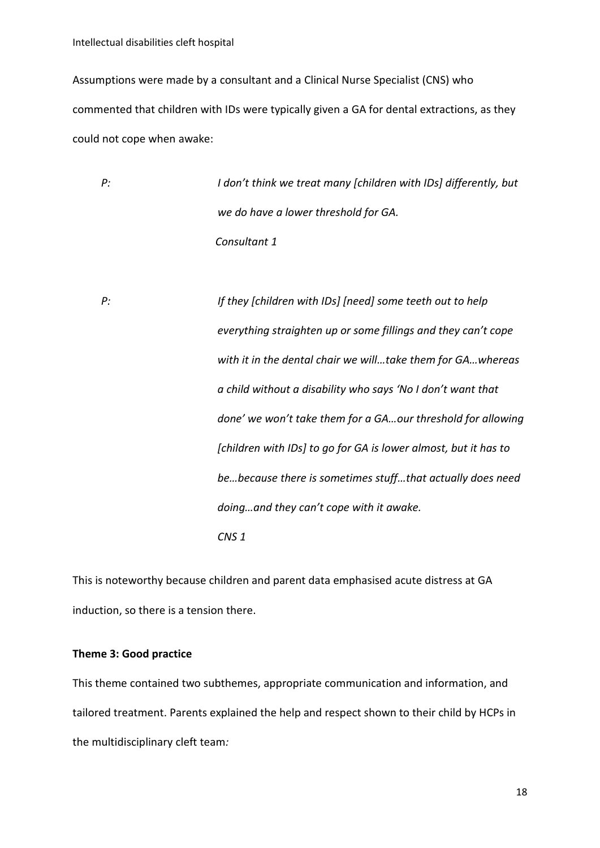Intellectual disabilities cleft hospital

Assumptions were made by a consultant and a Clinical Nurse Specialist (CNS) who commented that children with IDs were typically given a GA for dental extractions, as they could not cope when awake:

*P: I don't think we treat many [children with IDs] differently, but we do have a lower threshold for GA. Consultant 1*

*P: If they [children with IDs] [need] some teeth out to help everything straighten up or some fillings and they can't cope with it in the dental chair we will…take them for GA…whereas a child without a disability who says 'No I don't want that done' we won't take them for a GA…our threshold for allowing [children with IDs] to go for GA is lower almost, but it has to be…because there is sometimes stuff…that actually does need doing…and they can't cope with it awake. CNS 1*

This is noteworthy because children and parent data emphasised acute distress at GA induction, so there is a tension there.

#### **Theme 3: Good practice**

This theme contained two subthemes, appropriate communication and information, and tailored treatment. Parents explained the help and respect shown to their child by HCPs in the multidisciplinary cleft team*:*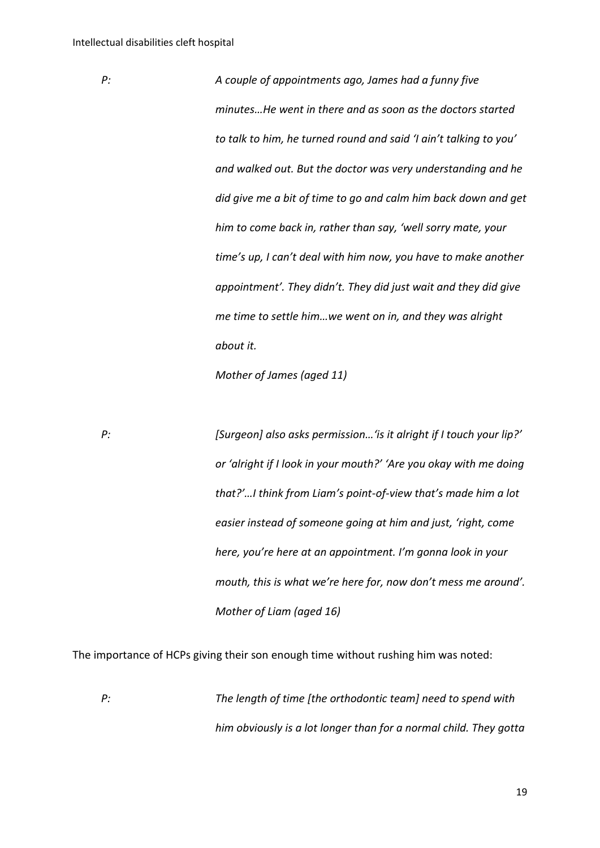*P: A couple of appointments ago, James had a funny five minutes…He went in there and as soon as the doctors started to talk to him, he turned round and said 'I ain't talking to you' and walked out. But the doctor was very understanding and he did give me a bit of time to go and calm him back down and get him to come back in, rather than say, 'well sorry mate, your time's up, I can't deal with him now, you have to make another appointment'. They didn't. They did just wait and they did give me time to settle him…we went on in, and they was alright about it.*

*Mother of James (aged 11)*

*P: [Surgeon] also asks permission…'is it alright if I touch your lip?' or 'alright if I look in your mouth?' 'Are you okay with me doing that?'…I think from Liam's point-of-view that's made him a lot easier instead of someone going at him and just, 'right, come here, you're here at an appointment. I'm gonna look in your mouth, this is what we're here for, now don't mess me around'. Mother of Liam (aged 16)*

The importance of HCPs giving their son enough time without rushing him was noted:

*P: The length of time [the orthodontic team] need to spend with him obviously is a lot longer than for a normal child. They gotta*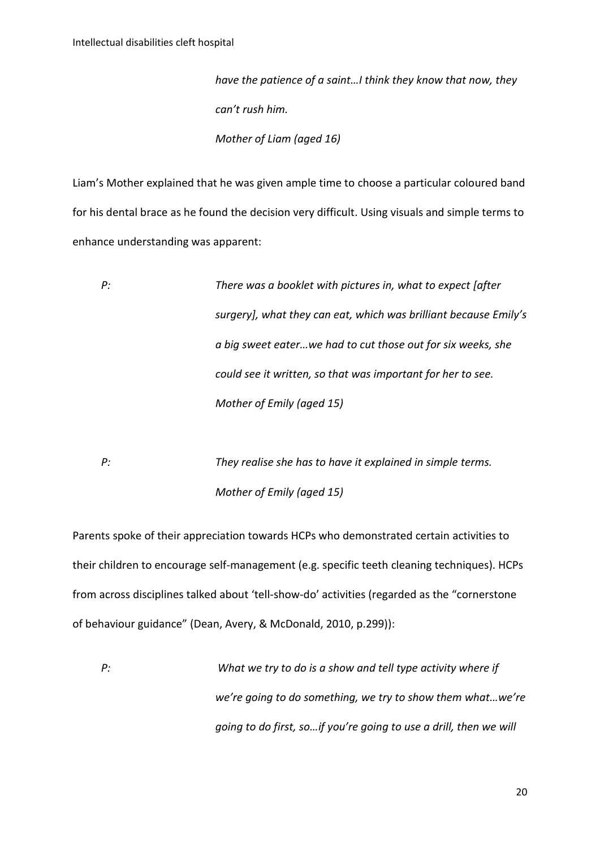*have the patience of a saint…I think they know that now, they can't rush him. Mother of Liam (aged 16)*

Liam's Mother explained that he was given ample time to choose a particular coloured band for his dental brace as he found the decision very difficult. Using visuals and simple terms to enhance understanding was apparent:

*P: There was a booklet with pictures in, what to expect [after surgery], what they can eat, which was brilliant because Emily's a big sweet eater…we had to cut those out for six weeks, she could see it written, so that was important for her to see. Mother of Emily (aged 15)*

*P: They realise she has to have it explained in simple terms. Mother of Emily (aged 15)*

Parents spoke of their appreciation towards HCPs who demonstrated certain activities to their children to encourage self-management (e.g. specific teeth cleaning techniques). HCPs from across disciplines talked about 'tell-show-do' activities (regarded as the "cornerstone of behaviour guidance" (Dean, Avery, & McDonald, 2010, p.299)):

*P: What we try to do is a show and tell type activity where if we're going to do something, we try to show them what…we're going to do first, so…if you're going to use a drill, then we will*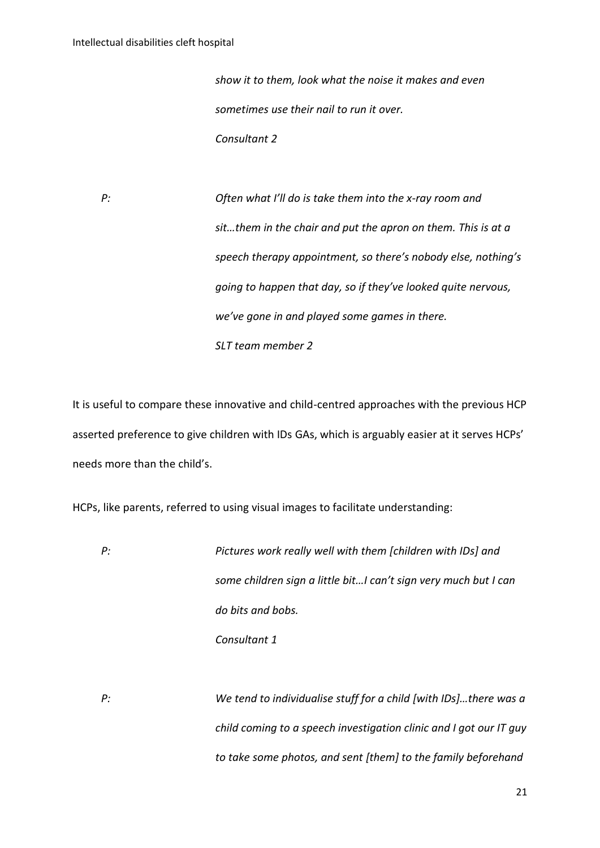*show it to them, look what the noise it makes and even sometimes use their nail to run it over. Consultant 2*

*P: Often what I'll do is take them into the x-ray room and sit…them in the chair and put the apron on them. This is at a speech therapy appointment, so there's nobody else, nothing's going to happen that day, so if they've looked quite nervous, we've gone in and played some games in there. SLT team member 2*

It is useful to compare these innovative and child-centred approaches with the previous HCP asserted preference to give children with IDs GAs, which is arguably easier at it serves HCPs' needs more than the child's.

HCPs, like parents, referred to using visual images to facilitate understanding:

*P: Pictures work really well with them [children with IDs] and some children sign a little bit…I can't sign very much but I can do bits and bobs. Consultant 1*

*P: We tend to individualise stuff for a child [with IDs]…there was a child coming to a speech investigation clinic and I got our IT guy to take some photos, and sent [them] to the family beforehand*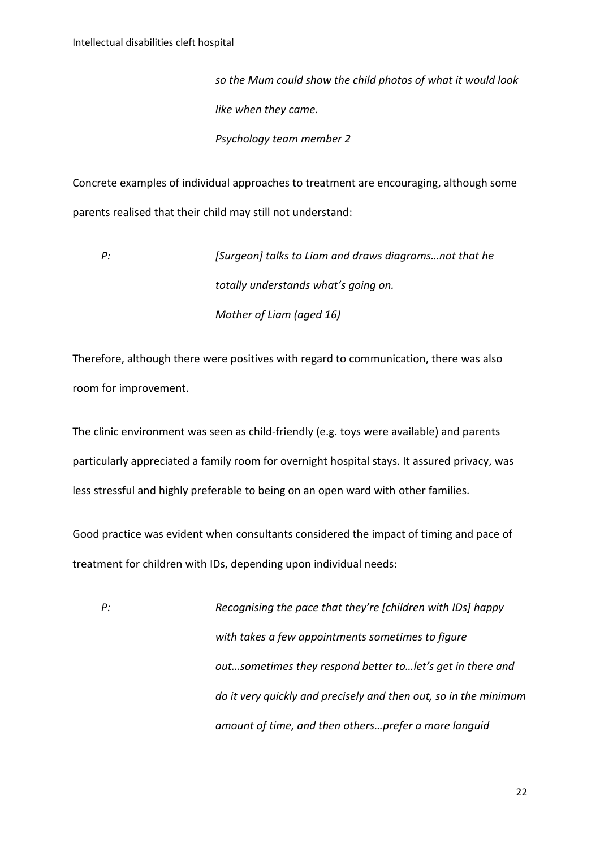*so the Mum could show the child photos of what it would look like when they came. Psychology team member 2*

Concrete examples of individual approaches to treatment are encouraging, although some parents realised that their child may still not understand:

*P: [Surgeon] talks to Liam and draws diagrams…not that he totally understands what's going on. Mother of Liam (aged 16)*

Therefore, although there were positives with regard to communication, there was also room for improvement.

The clinic environment was seen as child-friendly (e.g. toys were available) and parents particularly appreciated a family room for overnight hospital stays. It assured privacy, was less stressful and highly preferable to being on an open ward with other families.

Good practice was evident when consultants considered the impact of timing and pace of treatment for children with IDs, depending upon individual needs:

*P: Recognising the pace that they're [children with IDs] happy with takes a few appointments sometimes to figure out…sometimes they respond better to…let's get in there and do it very quickly and precisely and then out, so in the minimum amount of time, and then others…prefer a more languid*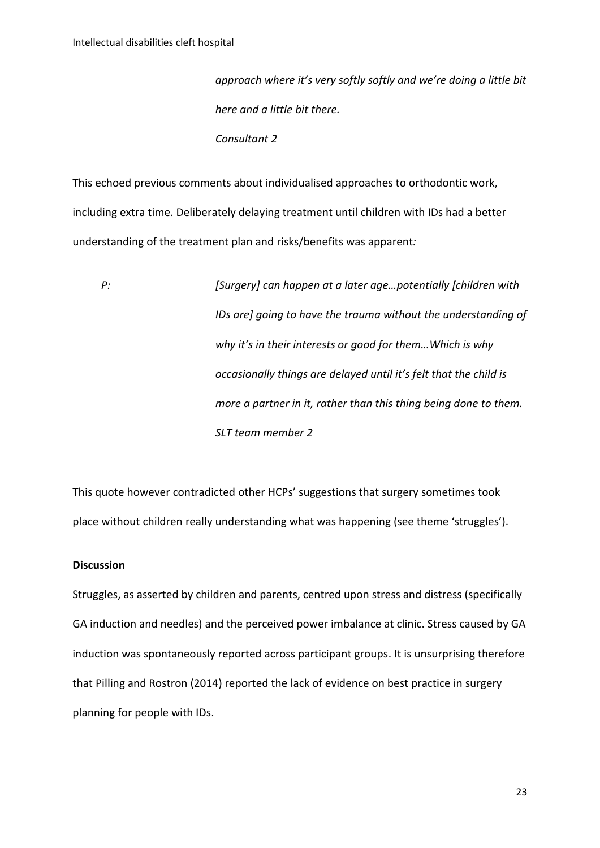*approach where it's very softly softly and we're doing a little bit here and a little bit there. Consultant 2*

This echoed previous comments about individualised approaches to orthodontic work, including extra time. Deliberately delaying treatment until children with IDs had a better understanding of the treatment plan and risks/benefits was apparent*:*

*P: [Surgery] can happen at a later age…potentially [children with IDs are] going to have the trauma without the understanding of why it's in their interests or good for them…Which is why occasionally things are delayed until it's felt that the child is more a partner in it, rather than this thing being done to them. SLT team member 2*

This quote however contradicted other HCPs' suggestions that surgery sometimes took place without children really understanding what was happening (see theme 'struggles').

#### **Discussion**

Struggles, as asserted by children and parents, centred upon stress and distress (specifically GA induction and needles) and the perceived power imbalance at clinic. Stress caused by GA induction was spontaneously reported across participant groups. It is unsurprising therefore that Pilling and Rostron (2014) reported the lack of evidence on best practice in surgery planning for people with IDs.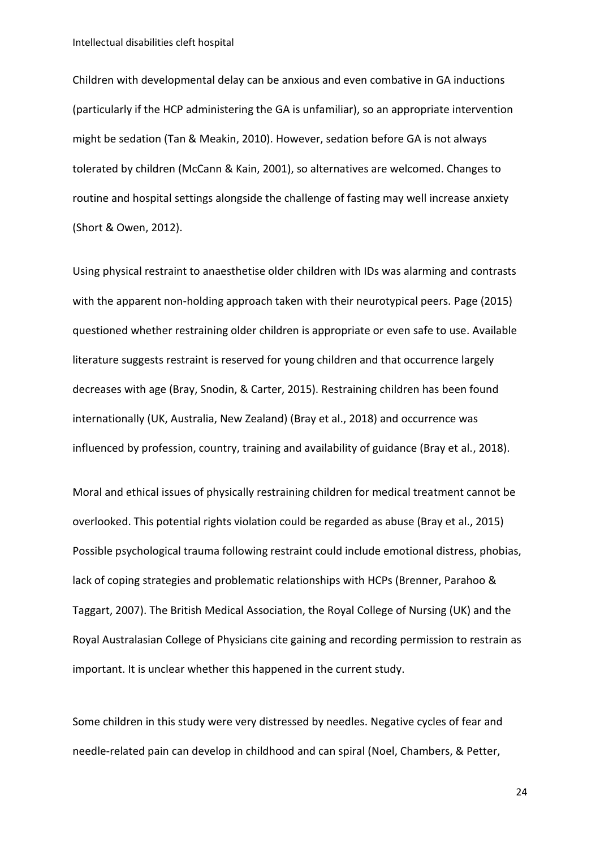Children with developmental delay can be anxious and even combative in GA inductions (particularly if the HCP administering the GA is unfamiliar), so an appropriate intervention might be sedation (Tan & Meakin, 2010). However, sedation before GA is not always tolerated by children (McCann & Kain, 2001), so alternatives are welcomed. Changes to routine and hospital settings alongside the challenge of fasting may well increase anxiety (Short & Owen, 2012).

Using physical restraint to anaesthetise older children with IDs was alarming and contrasts with the apparent non-holding approach taken with their neurotypical peers. Page (2015) questioned whether restraining older children is appropriate or even safe to use. Available literature suggests restraint is reserved for young children and that occurrence largely decreases with age (Bray, Snodin, & Carter, 2015). Restraining children has been found internationally (UK, Australia, New Zealand) (Bray et al., 2018) and occurrence was influenced by profession, country, training and availability of guidance (Bray et al., 2018).

Moral and ethical issues of physically restraining children for medical treatment cannot be overlooked. This potential rights violation could be regarded as abuse (Bray et al., 2015) Possible psychological trauma following restraint could include emotional distress, phobias, lack of coping strategies and problematic relationships with HCPs (Brenner, Parahoo & Taggart, 2007). The British Medical Association, the Royal College of Nursing (UK) and the Royal Australasian College of Physicians cite gaining and recording permission to restrain as important. It is unclear whether this happened in the current study.

Some children in this study were very distressed by needles. Negative cycles of fear and needle-related pain can develop in childhood and can spiral (Noel, Chambers, & Petter,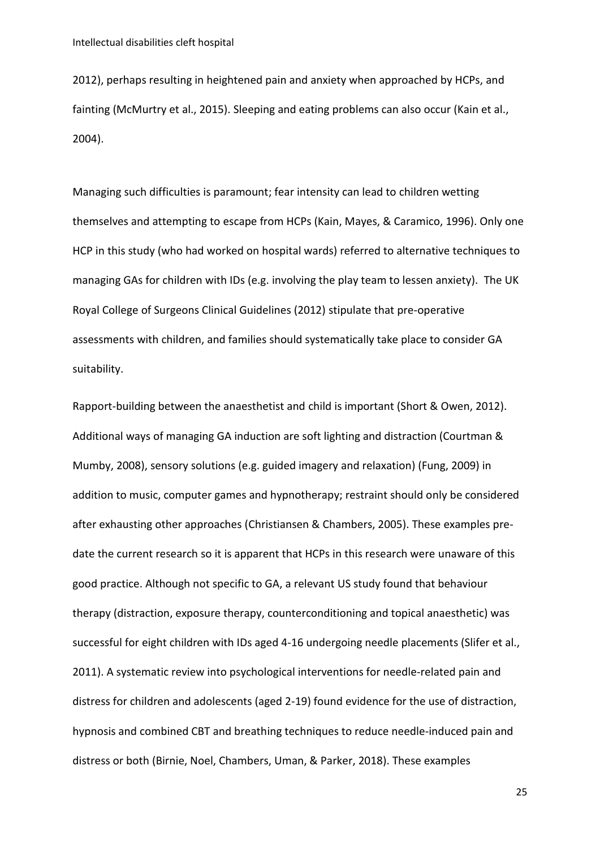2012), perhaps resulting in heightened pain and anxiety when approached by HCPs, and fainting (McMurtry et al., 2015). Sleeping and eating problems can also occur (Kain et al., 2004).

Managing such difficulties is paramount; fear intensity can lead to children wetting themselves and attempting to escape from HCPs (Kain, Mayes, & Caramico, 1996). Only one HCP in this study (who had worked on hospital wards) referred to alternative techniques to managing GAs for children with IDs (e.g. involving the play team to lessen anxiety). The UK Royal College of Surgeons Clinical Guidelines (2012) stipulate that pre-operative assessments with children, and families should systematically take place to consider GA suitability.

Rapport-building between the anaesthetist and child is important (Short & Owen, 2012). Additional ways of managing GA induction are soft lighting and distraction (Courtman & Mumby, 2008), sensory solutions (e.g. guided imagery and relaxation) (Fung, 2009) in addition to music, computer games and hypnotherapy; restraint should only be considered after exhausting other approaches (Christiansen & Chambers, 2005). These examples predate the current research so it is apparent that HCPs in this research were unaware of this good practice. Although not specific to GA, a relevant US study found that behaviour therapy (distraction, exposure therapy, counterconditioning and topical anaesthetic) was successful for eight children with IDs aged 4-16 undergoing needle placements (Slifer et al., 2011). A systematic review into psychological interventions for needle-related pain and distress for children and adolescents (aged 2-19) found evidence for the use of distraction, hypnosis and combined CBT and breathing techniques to reduce needle-induced pain and distress or both (Birnie, Noel, Chambers, Uman, & Parker, 2018). These examples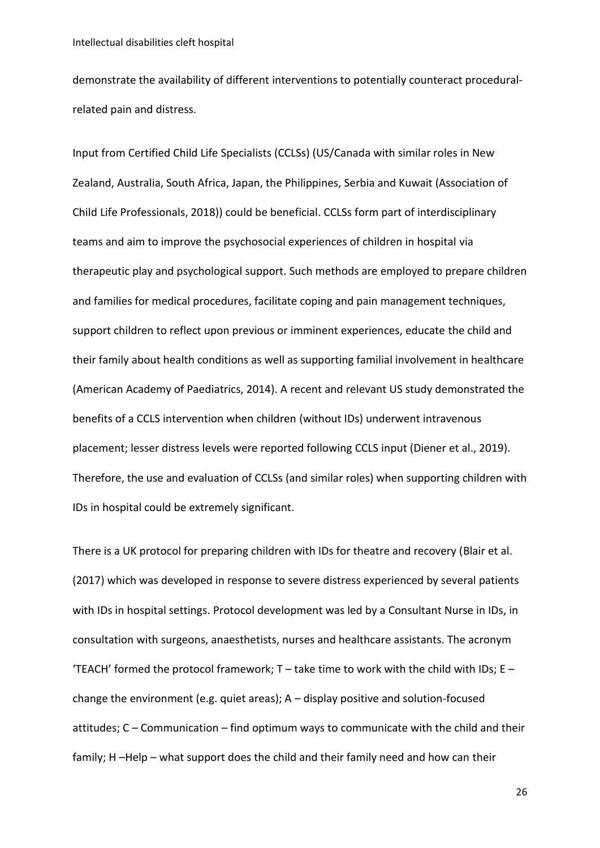demonstrate the availability of different interventions to potentially counteract proceduralrelated pain and distress.

Input from Certified Child Life Specialists (CCLSs) (US/Canada with similar roles in New Zealand, Australia, South Africa, Japan, the Philippines, Serbia and Kuwait (Association of Child Life Professionals, 2018)) could be beneficial. CCLSs form part of interdisciplinary teams and aim to improve the psychosocial experiences of children in hospital via therapeutic play and psychological support. Such methods are employed to prepare children and families for medical procedures, facilitate coping and pain management techniques, support children to reflect upon previous or imminent experiences, educate the child and their family about health conditions as well as supporting familial involvement in healthcare (American Academy of Paediatrics, 2014). A recent and relevant US study demonstrated the benefits of a CCLS intervention when children (without IDs) underwent intravenous placement; lesser distress levels were reported following CCLS input (Diener et al., 2019). Therefore, the use and evaluation of CCLSs (and similar roles) when supporting children with IDs in hospital could be extremely significant.

There is a UK protocol for preparing children with IDs for theatre and recovery (Blair et al. (2017) which was developed in response to severe distress experienced by several patients with IDs in hospital settings. Protocol development was led by a Consultant Nurse in IDs, in consultation with surgeons, anaesthetists, nurses and healthcare assistants. The acronym 'TEACH' formed the protocol framework; T – take time to work with the child with IDs; E – change the environment (e.g. quiet areas); A – display positive and solution-focused attitudes; C – Communication – find optimum ways to communicate with the child and their family; H –Help – what support does the child and their family need and how can their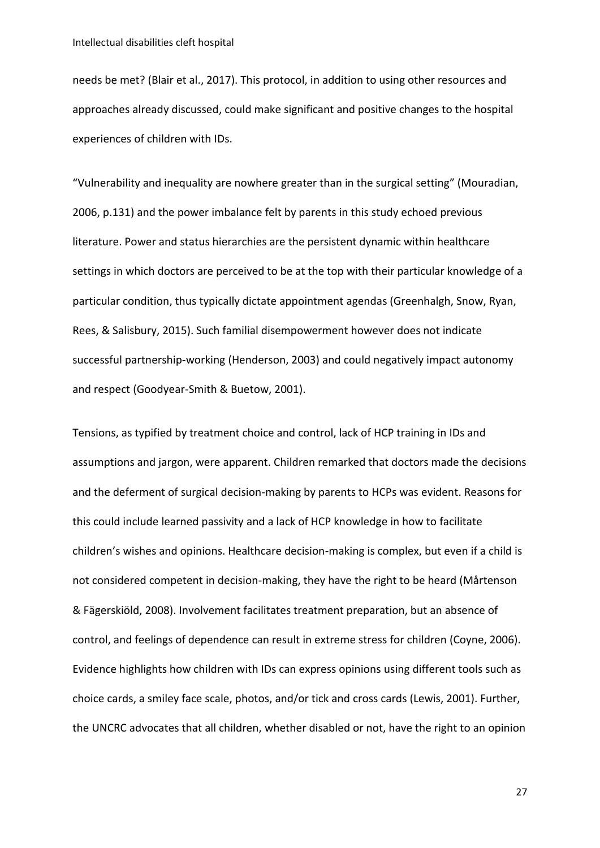needs be met? (Blair et al., 2017). This protocol, in addition to using other resources and approaches already discussed, could make significant and positive changes to the hospital experiences of children with IDs.

"Vulnerability and inequality are nowhere greater than in the surgical setting" (Mouradian, 2006, p.131) and the power imbalance felt by parents in this study echoed previous literature. Power and status hierarchies are the persistent dynamic within healthcare settings in which doctors are perceived to be at the top with their particular knowledge of a particular condition, thus typically dictate appointment agendas (Greenhalgh, Snow, Ryan, Rees, & Salisbury, 2015). Such familial disempowerment however does not indicate successful partnership-working (Henderson, 2003) and could negatively impact autonomy and respect (Goodyear-Smith & Buetow, 2001).

Tensions, as typified by treatment choice and control, lack of HCP training in IDs and assumptions and jargon, were apparent. Children remarked that doctors made the decisions and the deferment of surgical decision-making by parents to HCPs was evident. Reasons for this could include learned passivity and a lack of HCP knowledge in how to facilitate children's wishes and opinions. Healthcare decision-making is complex, but even if a child is not considered competent in decision-making, they have the right to be heard (Mårtenson & Fägerskiöld, 2008). Involvement facilitates treatment preparation, but an absence of control, and feelings of dependence can result in extreme stress for children (Coyne, 2006). Evidence highlights how children with IDs can express opinions using different tools such as choice cards, a smiley face scale, photos, and/or tick and cross cards (Lewis, 2001). Further, the UNCRC advocates that all children, whether disabled or not, have the right to an opinion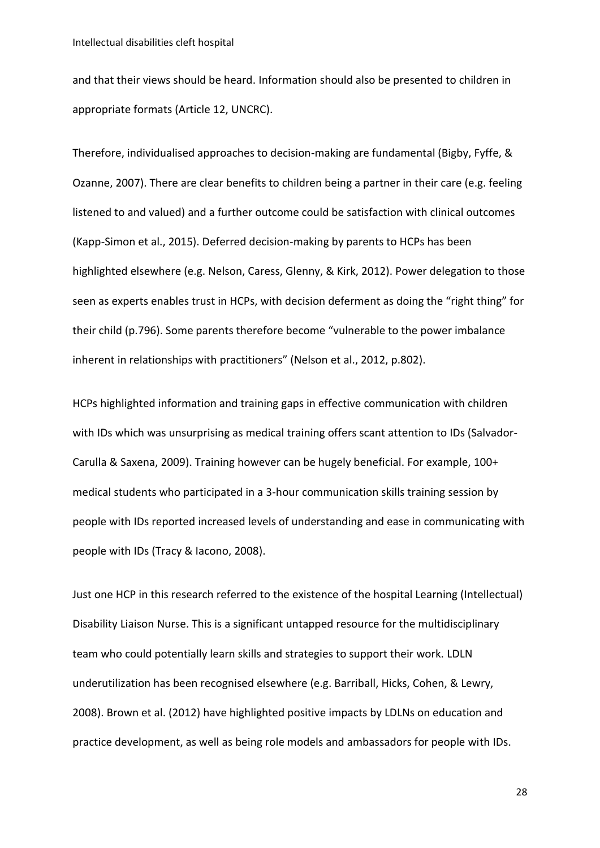and that their views should be heard. Information should also be presented to children in appropriate formats (Article 12, UNCRC).

Therefore, individualised approaches to decision-making are fundamental (Bigby, Fyffe, & Ozanne, 2007). There are clear benefits to children being a partner in their care (e.g. feeling listened to and valued) and a further outcome could be satisfaction with clinical outcomes (Kapp-Simon et al., 2015). Deferred decision-making by parents to HCPs has been highlighted elsewhere (e.g. Nelson, Caress, Glenny, & Kirk, 2012). Power delegation to those seen as experts enables trust in HCPs, with decision deferment as doing the "right thing" for their child (p.796). Some parents therefore become "vulnerable to the power imbalance inherent in relationships with practitioners" (Nelson et al., 2012, p.802).

HCPs highlighted information and training gaps in effective communication with children with IDs which was unsurprising as medical training offers scant attention to IDs (Salvador-Carulla & Saxena, 2009). Training however can be hugely beneficial. For example, 100+ medical students who participated in a 3-hour communication skills training session by people with IDs reported increased levels of understanding and ease in communicating with people with IDs (Tracy & Iacono, 2008).

Just one HCP in this research referred to the existence of the hospital Learning (Intellectual) Disability Liaison Nurse. This is a significant untapped resource for the multidisciplinary team who could potentially learn skills and strategies to support their work. LDLN underutilization has been recognised elsewhere (e.g. Barriball, Hicks, Cohen, & Lewry, 2008). Brown et al. (2012) have highlighted positive impacts by LDLNs on education and practice development, as well as being role models and ambassadors for people with IDs.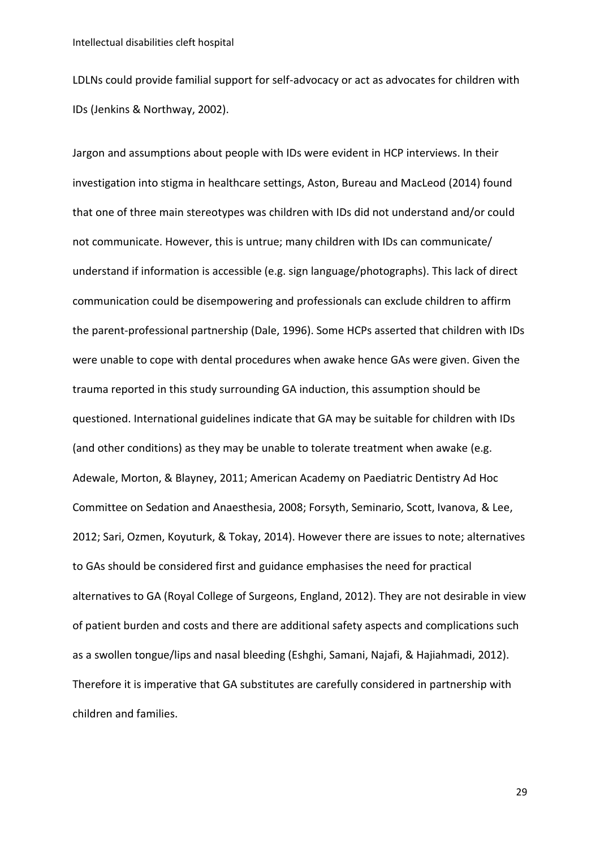LDLNs could provide familial support for self-advocacy or act as advocates for children with IDs (Jenkins & Northway, 2002).

Jargon and assumptions about people with IDs were evident in HCP interviews. In their investigation into stigma in healthcare settings, Aston, Bureau and MacLeod (2014) found that one of three main stereotypes was children with IDs did not understand and/or could not communicate. However, this is untrue; many children with IDs can communicate/ understand if information is accessible (e.g. sign language/photographs). This lack of direct communication could be disempowering and professionals can exclude children to affirm the parent-professional partnership (Dale, 1996). Some HCPs asserted that children with IDs were unable to cope with dental procedures when awake hence GAs were given. Given the trauma reported in this study surrounding GA induction, this assumption should be questioned. International guidelines indicate that GA may be suitable for children with IDs (and other conditions) as they may be unable to tolerate treatment when awake (e.g. Adewale, Morton, & Blayney, 2011; American Academy on Paediatric Dentistry Ad Hoc Committee on Sedation and Anaesthesia, 2008; Forsyth, Seminario, Scott, Ivanova, & Lee, 2012; Sari, Ozmen, Koyuturk, & Tokay, 2014). However there are issues to note; alternatives to GAs should be considered first and guidance emphasises the need for practical alternatives to GA (Royal College of Surgeons, England, 2012). They are not desirable in view of patient burden and costs and there are additional safety aspects and complications such as a swollen tongue/lips and nasal bleeding (Eshghi, Samani, Najafi, & Hajiahmadi, 2012). Therefore it is imperative that GA substitutes are carefully considered in partnership with children and families.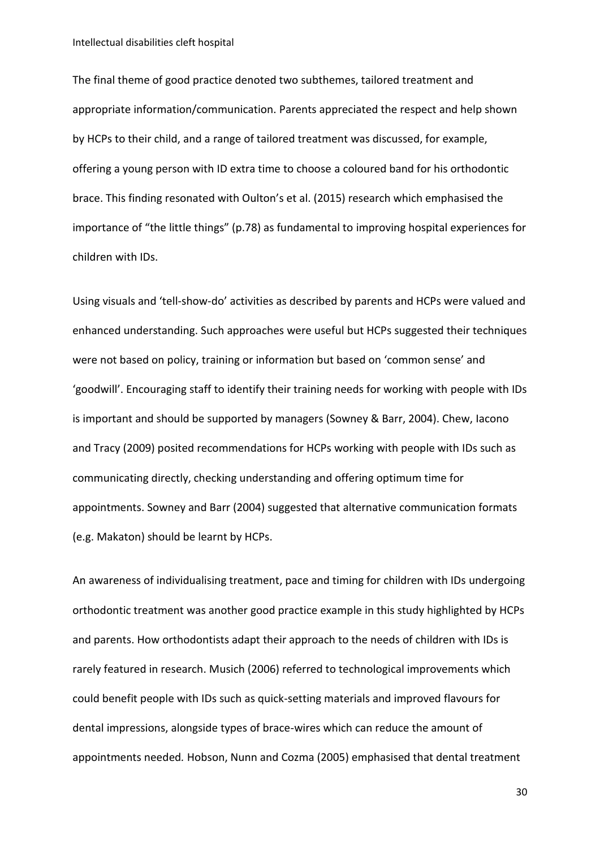Intellectual disabilities cleft hospital

The final theme of good practice denoted two subthemes, tailored treatment and appropriate information/communication. Parents appreciated the respect and help shown by HCPs to their child, and a range of tailored treatment was discussed, for example, offering a young person with ID extra time to choose a coloured band for his orthodontic brace. This finding resonated with Oulton's et al. (2015) research which emphasised the importance of "the little things" (p.78) as fundamental to improving hospital experiences for children with IDs.

Using visuals and 'tell-show-do' activities as described by parents and HCPs were valued and enhanced understanding. Such approaches were useful but HCPs suggested their techniques were not based on policy, training or information but based on 'common sense' and 'goodwill'. Encouraging staff to identify their training needs for working with people with IDs is important and should be supported by managers (Sowney & Barr, 2004). Chew, Iacono and Tracy (2009) posited recommendations for HCPs working with people with IDs such as communicating directly, checking understanding and offering optimum time for appointments. Sowney and Barr (2004) suggested that alternative communication formats (e.g. Makaton) should be learnt by HCPs.

An awareness of individualising treatment, pace and timing for children with IDs undergoing orthodontic treatment was another good practice example in this study highlighted by HCPs and parents. How orthodontists adapt their approach to the needs of children with IDs is rarely featured in research. Musich (2006) referred to technological improvements which could benefit people with IDs such as quick-setting materials and improved flavours for dental impressions, alongside types of brace-wires which can reduce the amount of appointments needed*.* Hobson, Nunn and Cozma (2005) emphasised that dental treatment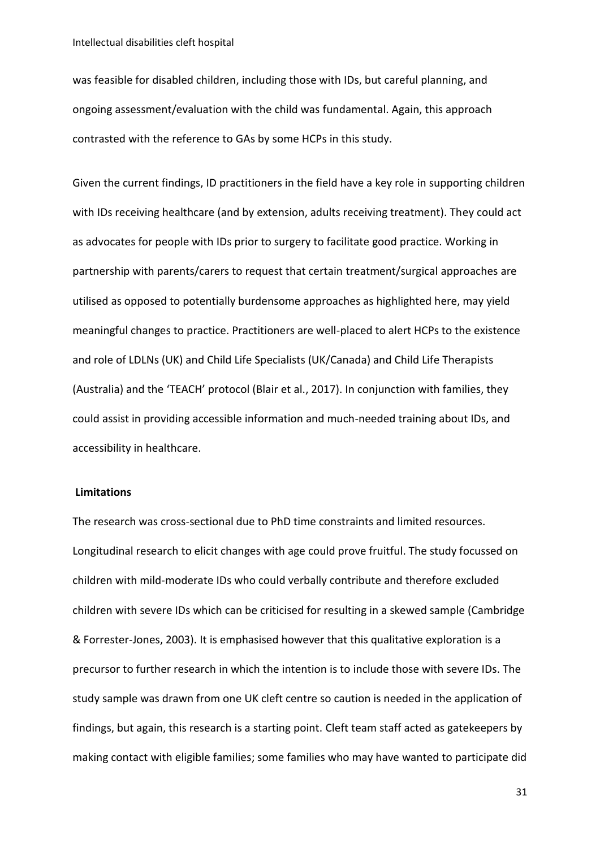was feasible for disabled children, including those with IDs, but careful planning, and ongoing assessment/evaluation with the child was fundamental. Again, this approach contrasted with the reference to GAs by some HCPs in this study.

Given the current findings, ID practitioners in the field have a key role in supporting children with IDs receiving healthcare (and by extension, adults receiving treatment). They could act as advocates for people with IDs prior to surgery to facilitate good practice. Working in partnership with parents/carers to request that certain treatment/surgical approaches are utilised as opposed to potentially burdensome approaches as highlighted here, may yield meaningful changes to practice. Practitioners are well-placed to alert HCPs to the existence and role of LDLNs (UK) and Child Life Specialists (UK/Canada) and Child Life Therapists (Australia) and the 'TEACH' protocol (Blair et al., 2017). In conjunction with families, they could assist in providing accessible information and much-needed training about IDs, and accessibility in healthcare.

#### **Limitations**

The research was cross-sectional due to PhD time constraints and limited resources. Longitudinal research to elicit changes with age could prove fruitful. The study focussed on children with mild-moderate IDs who could verbally contribute and therefore excluded children with severe IDs which can be criticised for resulting in a skewed sample (Cambridge & Forrester-Jones, 2003). It is emphasised however that this qualitative exploration is a precursor to further research in which the intention is to include those with severe IDs. The study sample was drawn from one UK cleft centre so caution is needed in the application of findings, but again, this research is a starting point. Cleft team staff acted as gatekeepers by making contact with eligible families; some families who may have wanted to participate did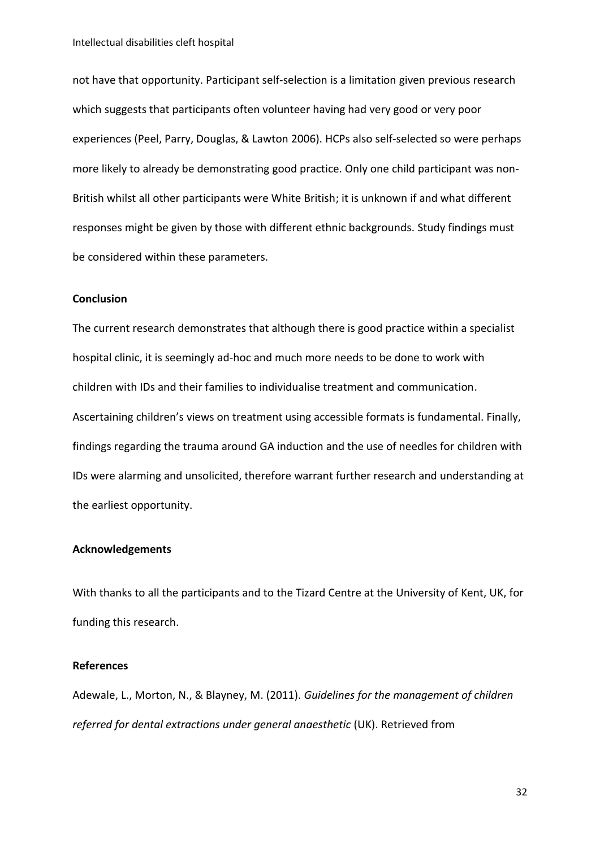not have that opportunity. Participant self-selection is a limitation given previous research which suggests that participants often volunteer having had very good or very poor experiences (Peel, Parry, Douglas, & Lawton 2006). HCPs also self-selected so were perhaps more likely to already be demonstrating good practice. Only one child participant was non-British whilst all other participants were White British; it is unknown if and what different responses might be given by those with different ethnic backgrounds. Study findings must be considered within these parameters.

#### **Conclusion**

The current research demonstrates that although there is good practice within a specialist hospital clinic, it is seemingly ad-hoc and much more needs to be done to work with children with IDs and their families to individualise treatment and communication. Ascertaining children's views on treatment using accessible formats is fundamental. Finally, findings regarding the trauma around GA induction and the use of needles for children with IDs were alarming and unsolicited, therefore warrant further research and understanding at the earliest opportunity.

#### **Acknowledgements**

With thanks to all the participants and to the Tizard Centre at the University of Kent, UK, for funding this research.

#### **References**

Adewale, L., Morton, N., & Blayney, M. (2011). *Guidelines for the management of children referred for dental extractions under general anaesthetic* (UK). Retrieved from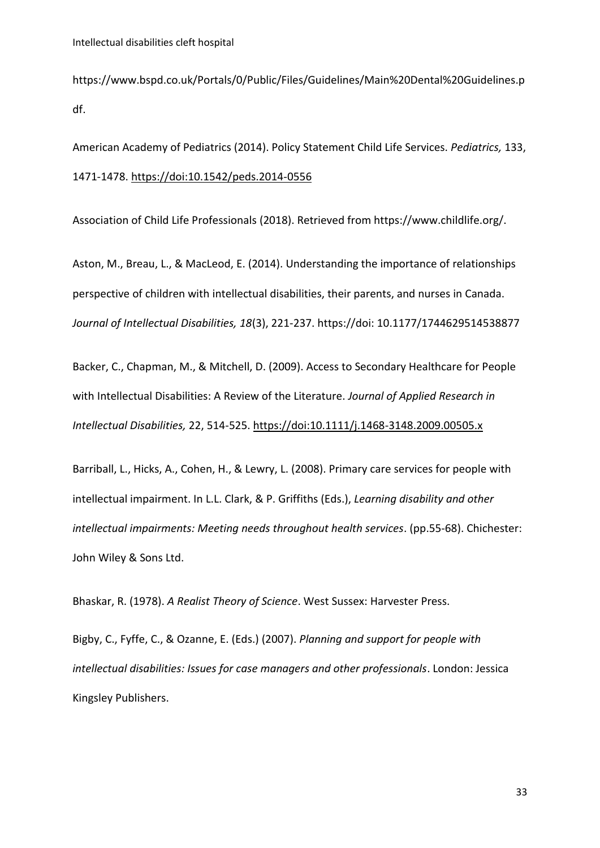https://www.bspd.co.uk/Portals/0/Public/Files/Guidelines/Main%20Dental%20Guidelines.p df.

American Academy of Pediatrics (2014). Policy Statement Child Life Services. *Pediatrics,* 133, 1471-1478.<https://doi:10.1542/peds.2014-0556>

Association of Child Life Professionals (2018). Retrieved from https://www.childlife.org/.

Aston, M., Breau, L., & MacLeod, E. (2014). Understanding the importance of relationships perspective of children with intellectual disabilities, their parents, and nurses in Canada. *Journal of Intellectual Disabilities, 18*(3), 221-237. https://doi: 10.1177/1744629514538877

Backer, C., Chapman, M., & Mitchell, D. (2009). Access to Secondary Healthcare for People with Intellectual Disabilities: A Review of the Literature. *Journal of Applied Research in Intellectual Disabilities,* 22, 514-525.<https://doi:10.1111/j.1468-3148.2009.00505.x>

Barriball, L., Hicks, A., Cohen, H., & Lewry, L. (2008). Primary care services for people with intellectual impairment. In L.L. Clark, & P. Griffiths (Eds.), *Learning disability and other intellectual impairments: Meeting needs throughout health services*. (pp.55-68). Chichester: John Wiley & Sons Ltd.

Bhaskar, R. (1978). *A Realist Theory of Science*. West Sussex: Harvester Press.

Bigby, C., Fyffe, C., & Ozanne, E. (Eds.) (2007). *Planning and support for people with intellectual disabilities: Issues for case managers and other professionals*. London: Jessica Kingsley Publishers.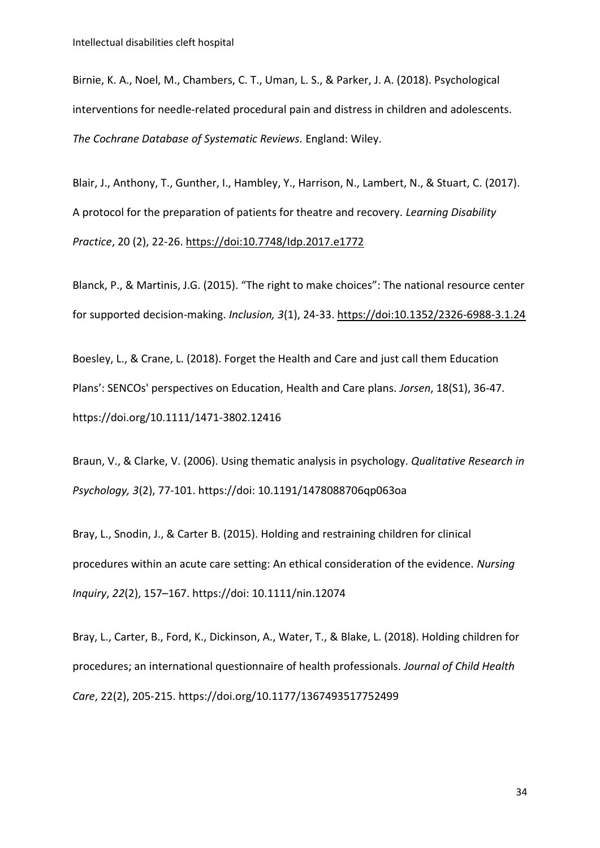Birnie, K. A., Noel, M., Chambers, C. T., Uman, L. S., & Parker, J. A. (2018). Psychological interventions for needle-related procedural pain and distress in children and adolescents. *The Cochrane Database of Systematic Reviews.* England: Wiley.

Blair, J., Anthony, T., Gunther, I., Hambley, Y., Harrison, N., Lambert, N., & Stuart, C. (2017). A protocol for the preparation of patients for theatre and recovery. *Learning Disability Practice*, 20 (2), 22-26.<https://doi:10.7748/Idp.2017.e1772>

Blanck, P., & Martinis, J.G. (2015). "The right to make choices": The national resource center for supported decision-making. *Inclusion, 3*(1), 24-33[. https://doi:10.1352/2326-6988-3.1.24](https://doi:10.1352/2326-6988-3.1.24) 

Boesley, L., & Crane, L. (2018). Forget the Health and Care and just call them Education Plans': SENCOs' perspectives on Education, Health and Care plans. *Jorsen*, 18(S1), 36-47. <https://doi.org/10.1111/1471-3802.12416>

Braun, V., & Clarke, V. (2006). Using thematic analysis in psychology. *Qualitative Research in Psychology, 3*(2), 77-101. https://doi: 10.1191/1478088706qp063oa

Bray, L., Snodin, J., & Carter B. (2015). Holding and restraining children for clinical procedures within an acute care setting: An ethical consideration of the evidence. *Nursing Inquiry*, *22*(2), 157–167. https://doi: 10.1111/nin.12074

Bray, L., Carter, B., Ford, K., Dickinson, A., Water, T., & Blake, L. (2018). Holding children for procedures; an international questionnaire of health professionals. *Journal of Child Health Care*, 22(2), 205-215. https:/[/doi.org/10.1177/1367493517752499](https://doi.org/10.1177%2F1367493517752499)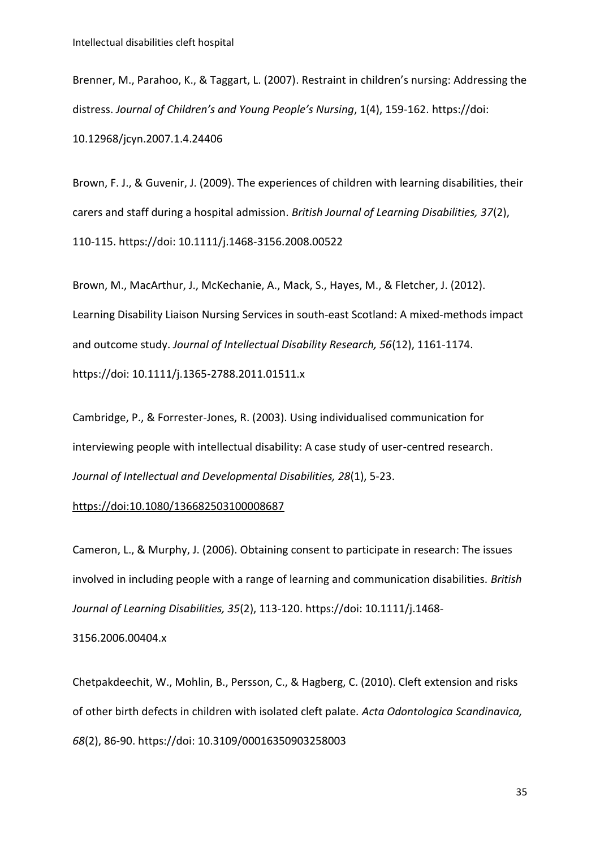Brenner, M., Parahoo, K., & Taggart, L. (2007). Restraint in children's nursing: Addressing the distress. *Journal of Children's and Young People's Nursing*, 1(4), 159-162. https://doi: 10.12968/jcyn.2007.1.4.24406

Brown, F. J., & Guvenir, J. (2009). The experiences of children with learning disabilities, their carers and staff during a hospital admission. *British Journal of Learning Disabilities, 37*(2), 110-115. https://doi: 10.1111/j.1468-3156.2008.00522

Brown, M., MacArthur, J., McKechanie, A., Mack, S., Hayes, M., & Fletcher, J. (2012). Learning Disability Liaison Nursing Services in south-east Scotland: A mixed-methods impact and outcome study. *Journal of Intellectual Disability Research, 56*(12), 1161-1174. https://doi: 10.1111/j.1365-2788.2011.01511.x

Cambridge, P., & Forrester-Jones, R. (2003). Using individualised communication for interviewing people with intellectual disability: A case study of user-centred research. *Journal of Intellectual and Developmental Disabilities, 28*(1), 5-23.

#### <https://doi:10.1080/136682503100008687>

Cameron, L., & Murphy, J. (2006). Obtaining consent to participate in research: The issues involved in including people with a range of learning and communication disabilities. *British Journal of Learning Disabilities, 35*(2), 113-120. https://doi: 10.1111/j.1468-

3156.2006.00404.x

Chetpakdeechit, W., Mohlin, B., Persson, C., & Hagberg, C. (2010). Cleft extension and risks of other birth defects in children with isolated cleft palate*. Acta Odontologica Scandinavica, 68*(2), 86-90. https://doi: 10.3109/00016350903258003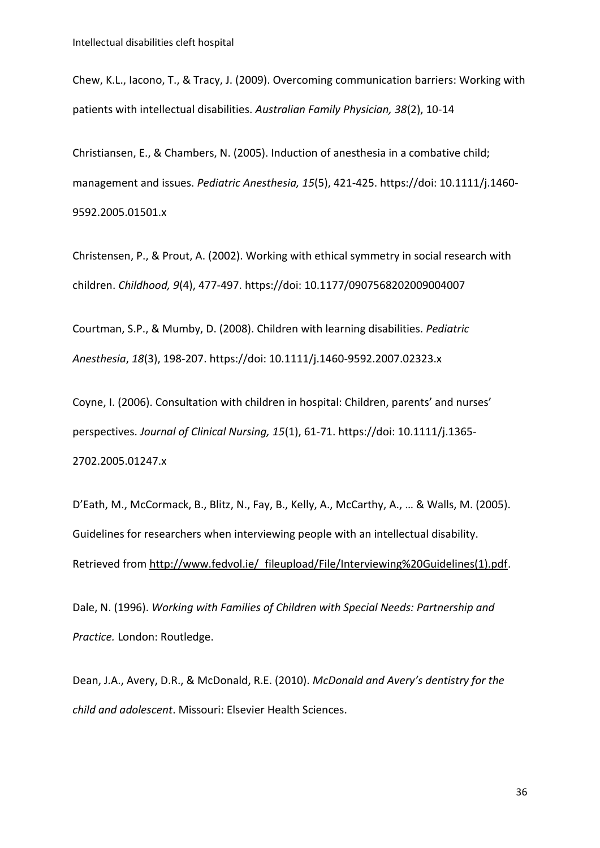Chew, K.L., Iacono, T., & Tracy, J. (2009). Overcoming communication barriers: Working with patients with intellectual disabilities. *Australian Family Physician, 38*(2), 10-14

Christiansen, E., & Chambers, N. (2005). Induction of anesthesia in a combative child; management and issues. *Pediatric Anesthesia, 15*(5), 421-425. https://doi: 10.1111/j.1460- 9592.2005.01501.x

Christensen, P., & Prout, A. (2002). Working with ethical symmetry in social research with children. *Childhood, 9*(4), 477-497. https://doi: 10.1177/0907568202009004007

Courtman, S.P., & Mumby, D. (2008). Children with learning disabilities. *Pediatric Anesthesia*, *18*(3), 198-207. https://doi: 10.1111/j.1460-9592.2007.02323.x

Coyne, I. (2006). Consultation with children in hospital: Children, parents' and nurses' perspectives. *Journal of Clinical Nursing, 15*(1), 61-71. https://doi: 10.1111/j.1365- 2702.2005.01247.x

D'Eath, M., McCormack, B., Blitz, N., Fay, B., Kelly, A., McCarthy, A., … & Walls, M. (2005). Guidelines for researchers when interviewing people with an intellectual disability. Retrieved from http://www.fedvol.ie/ fileupload/File/Interviewing%20Guidelines(1).pdf.

Dale, N. (1996). *Working with Families of Children with Special Needs: Partnership and Practice.* London: Routledge.

Dean, J.A., Avery, D.R., & McDonald, R.E. (2010). *McDonald and Avery's dentistry for the child and adolescent*. Missouri: Elsevier Health Sciences.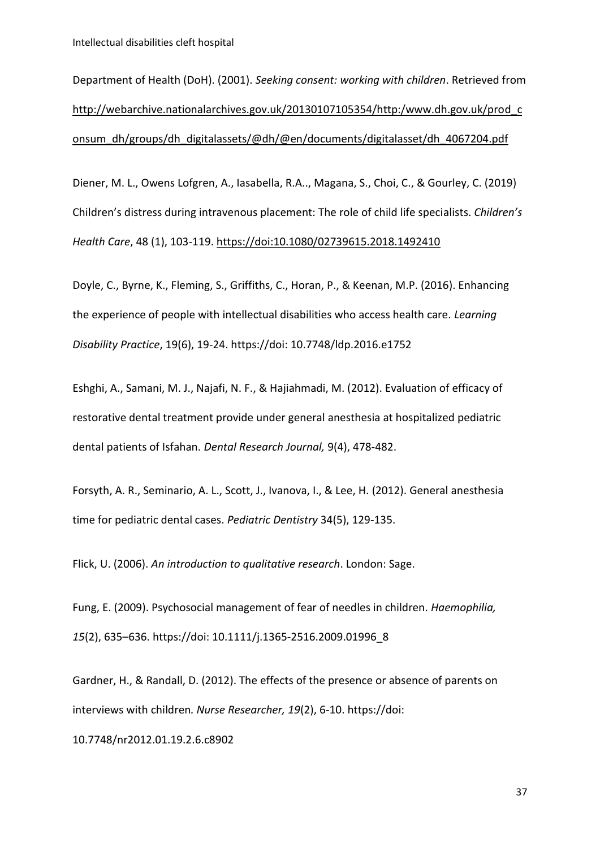Intellectual disabilities cleft hospital

Department of Health (DoH). (2001). *Seeking consent: working with children*. Retrieved from [http://webarchive.nationalarchives.gov.uk/20130107105354/http:/www.dh.gov.uk/prod\\_c](http://webarchive.nationalarchives.gov.uk/20130107105354/http:/www.dh.gov.uk/prod_consum_dh/groups/dh_digitalassets/@dh/@en/documents/digitalasset/dh_4067204.pdf) [onsum\\_dh/groups/dh\\_digitalassets/@dh/@en/documents/digitalasset/dh\\_4067204.pdf](http://webarchive.nationalarchives.gov.uk/20130107105354/http:/www.dh.gov.uk/prod_consum_dh/groups/dh_digitalassets/@dh/@en/documents/digitalasset/dh_4067204.pdf)

Diener, M. L., Owens Lofgren, A., Iasabella, R.A.., Magana, S., Choi, C., & Gourley, C. (2019) Children's distress during intravenous placement: The role of child life specialists. *Children's Health Care*, 48 (1), 103-119.<https://doi:10.1080/02739615.2018.1492410>

Doyle, C., Byrne, K., Fleming, S., Griffiths, C., Horan, P., & Keenan, M.P. (2016). Enhancing the experience of people with intellectual disabilities who access health care. *Learning Disability Practice*, 19(6), 19-24. https://doi: 10.7748/ldp.2016.e1752

Eshghi, A., Samani, M. J., Najafi, N. F., & Hajiahmadi, M. (2012). Evaluation of efficacy of restorative dental treatment provide under general anesthesia at hospitalized pediatric dental patients of Isfahan. *Dental Research Journal,* 9(4), 478-482.

Forsyth, A. R., Seminario, A. L., Scott, J., Ivanova, I., & Lee, H. (2012). General anesthesia time for pediatric dental cases. *Pediatric Dentistry* 34(5), 129-135.

Flick, U. (2006). *An introduction to qualitative research*. London: Sage.

Fung, E. (2009). Psychosocial management of fear of needles in children. *Haemophilia, 15*(2), 635–636. https://doi: 10.1111/j.1365-2516.2009.01996\_8

Gardner, H., & Randall, D. (2012). The effects of the presence or absence of parents on interviews with children*. Nurse Researcher, 19*(2), 6-10. https://doi:

10.7748/nr2012.01.19.2.6.c8902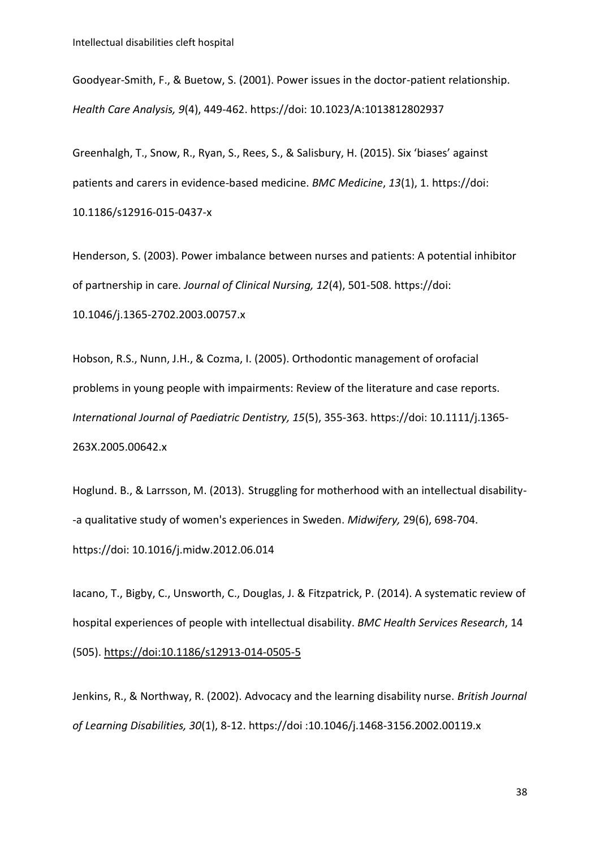Goodyear-Smith, F., & Buetow, S. (2001). Power issues in the doctor-patient relationship. *Health Care Analysis, 9*(4), 449-462. https://doi: 10.1023/A:1013812802937

Greenhalgh, T., Snow, R., Ryan, S., Rees, S., & Salisbury, H. (2015). Six 'biases' against patients and carers in evidence-based medicine. *BMC Medicine*, *13*(1), 1. https://doi: 10.1186/s12916-015-0437-x

Henderson, S. (2003). Power imbalance between nurses and patients: A potential inhibitor of partnership in care*. Journal of Clinical Nursing, 12*(4), 501-508. https://doi: 10.1046/j.1365-2702.2003.00757.x

Hobson, R.S., Nunn, J.H., & Cozma, I. (2005). Orthodontic management of orofacial problems in young people with impairments: Review of the literature and case reports. *International Journal of Paediatric Dentistry, 15*(5), 355-363. https://doi: 10.1111/j.1365- 263X.2005.00642.x

Hoglund. B., & Larrsson, M. (2013). Struggling for motherhood with an intellectual disability- -a qualitative study of women's experiences in Sweden. *Midwifery,* 29(6), 698-704. https://doi: 10.1016/j.midw.2012.06.014

Iacano, T., Bigby, C., Unsworth, C., Douglas, J. & Fitzpatrick, P. (2014). A systematic review of hospital experiences of people with intellectual disability. *BMC Health Services Research*, 14 (505).<https://doi:10.1186/s12913-014-0505-5>

Jenkins, R., & Northway, R. (2002). Advocacy and the learning disability nurse. *British Journal of Learning Disabilities, 30*(1), 8-12. https://doi :10.1046/j.1468-3156.2002.00119.x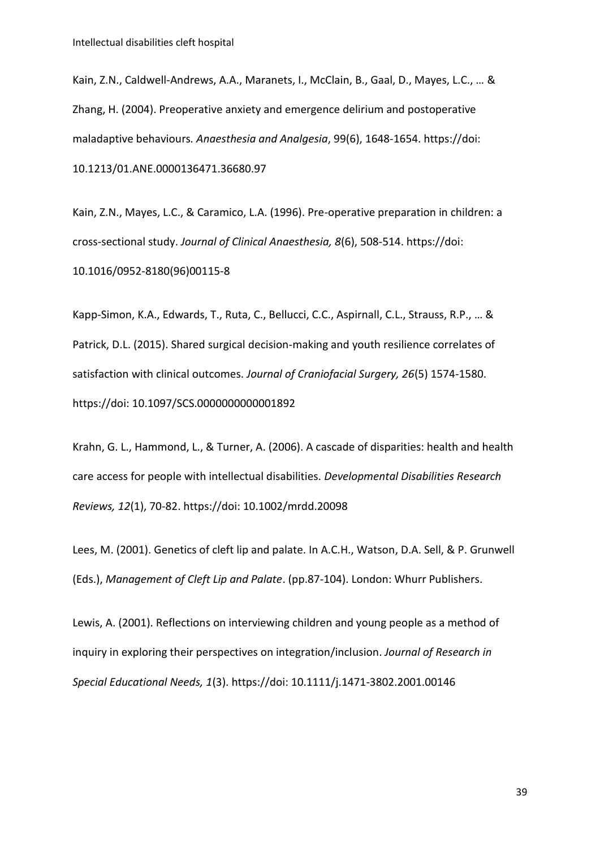Kain, Z.N., Caldwell-Andrews, A.A., Maranets, I., McClain, B., Gaal, D., Mayes, L.C., … & Zhang, H. (2004). Preoperative anxiety and emergence delirium and postoperative maladaptive behaviours*. Anaesthesia and Analgesia*, 99(6), 1648-1654. https://doi: 10.1213/01.ANE.0000136471.36680.97

Kain, Z.N., Mayes, L.C., & Caramico, L.A. (1996). Pre-operative preparation in children: a cross-sectional study. *Journal of Clinical Anaesthesia, 8*(6), 508-514. https://doi: 10.1016/0952-8180(96)00115-8

Kapp-Simon, K.A., Edwards, T., Ruta, C., Bellucci, C.C., Aspirnall, C.L., Strauss, R.P., … & Patrick, D.L. (2015). Shared surgical decision-making and youth resilience correlates of satisfaction with clinical outcomes. *Journal of Craniofacial Surgery, 26*(5) 1574-1580. https://doi: 10.1097/SCS.0000000000001892

Krahn, G. L., Hammond, L., & Turner, A. (2006). A cascade of disparities: health and health care access for people with intellectual disabilities. *Developmental Disabilities Research Reviews, 12*(1), 70-82. https://doi: 10.1002/mrdd.20098

Lees, M. (2001). Genetics of cleft lip and palate. In A.C.H., Watson, D.A. Sell, & P. Grunwell (Eds.), *Management of Cleft Lip and Palate*. (pp.87-104). London: Whurr Publishers.

Lewis, A. (2001). Reflections on interviewing children and young people as a method of inquiry in exploring their perspectives on integration/inclusion. *Journal of Research in Special Educational Needs, 1*(3). https://doi: 10.1111/j.1471-3802.2001.00146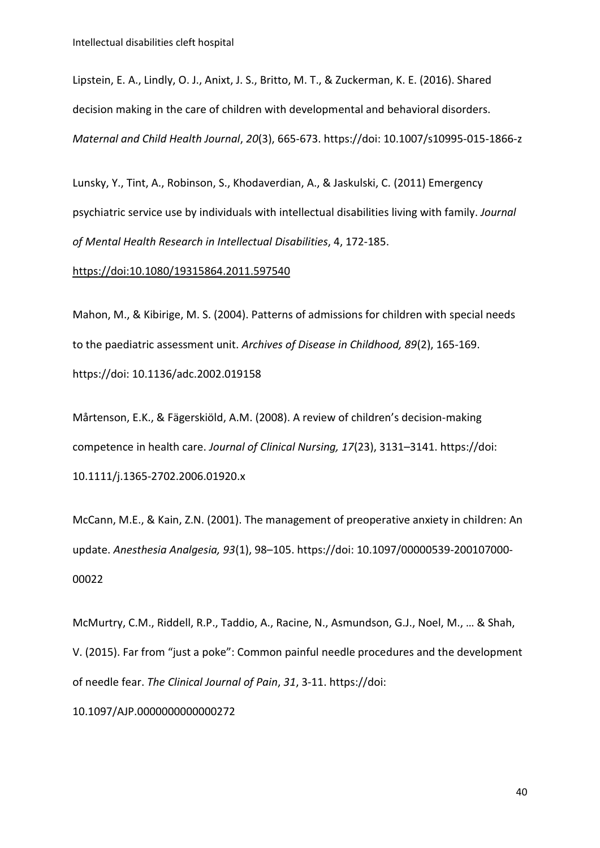Lipstein, E. A., Lindly, O. J., Anixt, J. S., Britto, M. T., & Zuckerman, K. E. (2016). Shared decision making in the care of children with developmental and behavioral disorders. *Maternal and Child Health Journal*, *20*(3), 665-673. https://doi: 10.1007/s10995-015-1866-z

Lunsky, Y., Tint, A., Robinson, S., Khodaverdian, A., & Jaskulski, C. (2011) Emergency psychiatric service use by individuals with intellectual disabilities living with family. *Journal of Mental Health Research in Intellectual Disabilities*, 4, 172-185.

#### <https://doi:10.1080/19315864.2011.597540>

Mahon, M., & Kibirige, M. S. (2004). Patterns of admissions for children with special needs to the paediatric assessment unit. *Archives of Disease in Childhood, 89*(2), 165-169. https://doi: 10.1136/adc.2002.019158

Mårtenson, E.K., & Fägerskiöld, A.M. (2008). A review of children's decision-making competence in health care. *Journal of Clinical Nursing, 17*(23), 3131–3141. https://doi: 10.1111/j.1365-2702.2006.01920.x

McCann, M.E., & Kain, Z.N. (2001). The management of preoperative anxiety in children: An update. *Anesthesia Analgesia, 93*(1), 98–105. https://doi: 10.1097/00000539-200107000- 00022

McMurtry, C.M., Riddell, R.P., Taddio, A., Racine, N., Asmundson, G.J., Noel, M., … & Shah, V. (2015). Far from "just a poke": Common painful needle procedures and the development of needle fear. *The Clinical Journal of Pain*, *31*, 3-11. https://doi:

10.1097/AJP.0000000000000272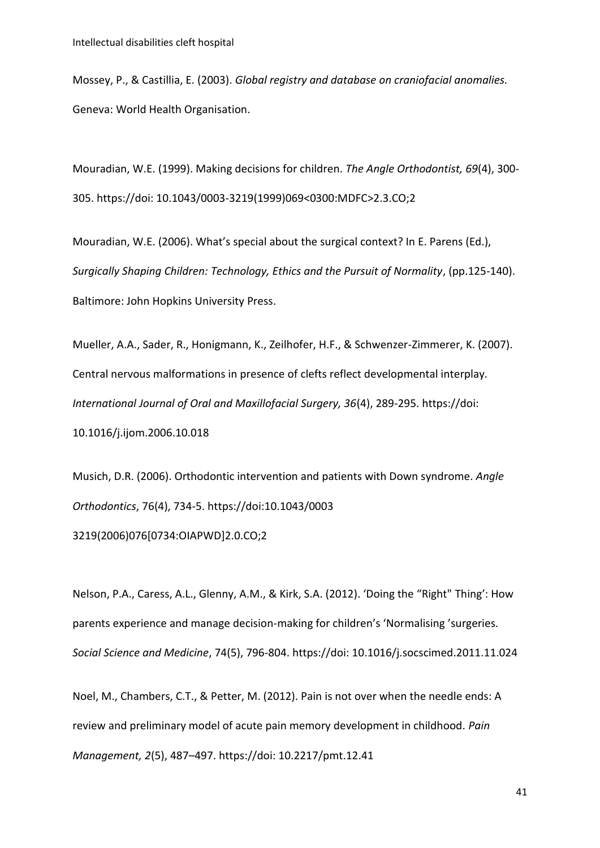Mossey, P., & Castillia, E. (2003). *Global registry and database on craniofacial anomalies.* Geneva: World Health Organisation.

Mouradian, W.E. (1999). Making decisions for children. *The Angle Orthodontist, 69*(4), 300- 305. https://doi: 10.1043/0003-3219(1999)069<0300:MDFC>2.3.CO;2

Mouradian, W.E. (2006). What's special about the surgical context? In E. Parens (Ed.), *Surgically Shaping Children: Technology, Ethics and the Pursuit of Normality*, (pp.125-140). Baltimore: John Hopkins University Press.

Mueller, A.A., Sader, R., Honigmann, K., Zeilhofer, H.F., & Schwenzer-Zimmerer, K. (2007). Central nervous malformations in presence of clefts reflect developmental interplay*. International Journal of Oral and Maxillofacial Surgery, 36*(4), 289-295. https://doi: 10.1016/j.ijom.2006.10.018

Musich, D.R. (2006). Orthodontic intervention and patients with Down syndrome. *Angle Orthodontics*, 76(4), 734-5. https://doi[:10.1043/0003](https://doi.org/10.1043/0003-3219(2006)076%5b0734:OIAPWD%5d2.0.CO;2)  [3219\(2006\)076\[0734:OIAPWD\]2.0.CO;2](https://doi.org/10.1043/0003-3219(2006)076%5b0734:OIAPWD%5d2.0.CO;2) 

Nelson, P.A., Caress, A.L., Glenny, A.M., & Kirk, S.A. (2012). 'Doing the "Right" Thing': How parents experience and manage decision-making for children's 'Normalising 'surgeries*. Social Science and Medicine*, 74(5), 796-804. https://doi: 10.1016/j.socscimed.2011.11.024

Noel, M., Chambers, C.T., & Petter, M. (2012). Pain is not over when the needle ends: A review and preliminary model of acute pain memory development in childhood. *Pain Management, 2*(5), 487–497. https://doi: 10.2217/pmt.12.41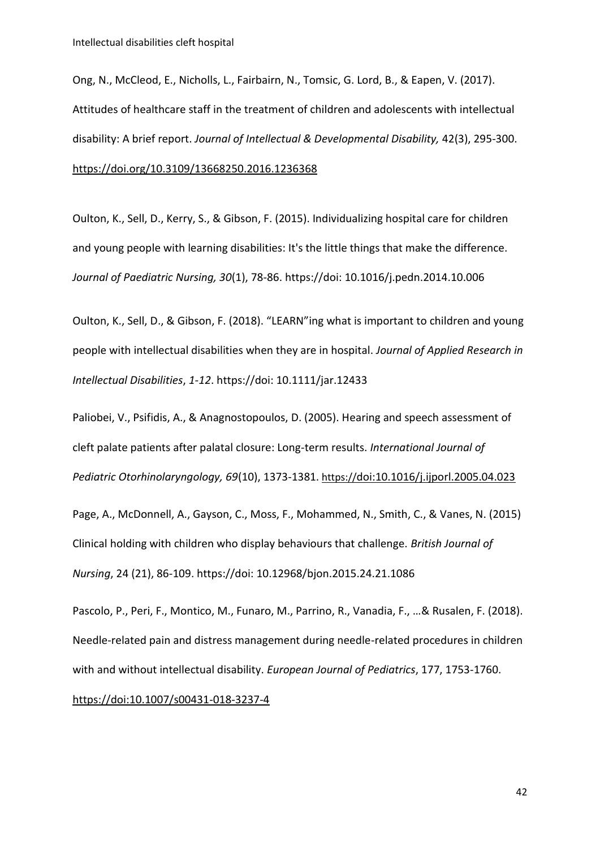Ong, N., McCleod, E., Nicholls, L., Fairbairn, N., Tomsic, G. Lord, B., & Eapen, V. (2017). Attitudes of healthcare staff in the treatment of children and adolescents with intellectual disability: A brief report. *Journal of Intellectual & Developmental Disability,* 42(3), 295-300. <https://doi.org/10.3109/13668250.2016.1236368>

Oulton, K., Sell, D., Kerry, S., & Gibson, F. (2015). Individualizing hospital care for children and young people with learning disabilities: It's the little things that make the difference. *Journal of Paediatric Nursing, 30*(1), 78-86. https://doi: 10.1016/j.pedn.2014.10.006

Oulton, K., Sell, D., & Gibson, F. (2018). "LEARN"ing what is important to children and young people with intellectual disabilities when they are in hospital. *Journal of Applied Research in Intellectual Disabilities*, *1-12*. https://doi: 10.1111/jar.12433

Paliobei, V., Psifidis, A., & Anagnostopoulos, D. (2005). Hearing and speech assessment of cleft palate patients after palatal closure: Long-term results. *International Journal of Pediatric Otorhinolaryngology, 69*(10), 1373-1381. https://[doi:10.1016/j.ijporl.2005.04.023](https://doi:10.1016/j.ijporl.2005.04.023)

Page, A., McDonnell, A., Gayson, C., Moss, F., Mohammed, N., Smith, C., & Vanes, N. (2015) Clinical holding with children who display behaviours that challenge. *British Journal of Nursing*, 24 (21), 86-109. https://doi: 10.12968/bjon.2015.24.21.1086

Pascolo, P., Peri, F., Montico, M., Funaro, M., Parrino, R., Vanadia, F., …& Rusalen, F. (2018). Needle-related pain and distress management during needle-related procedures in children with and without intellectual disability. *European Journal of Pediatrics*, 177, 1753-1760. <https://doi:10.1007/s00431-018-3237-4>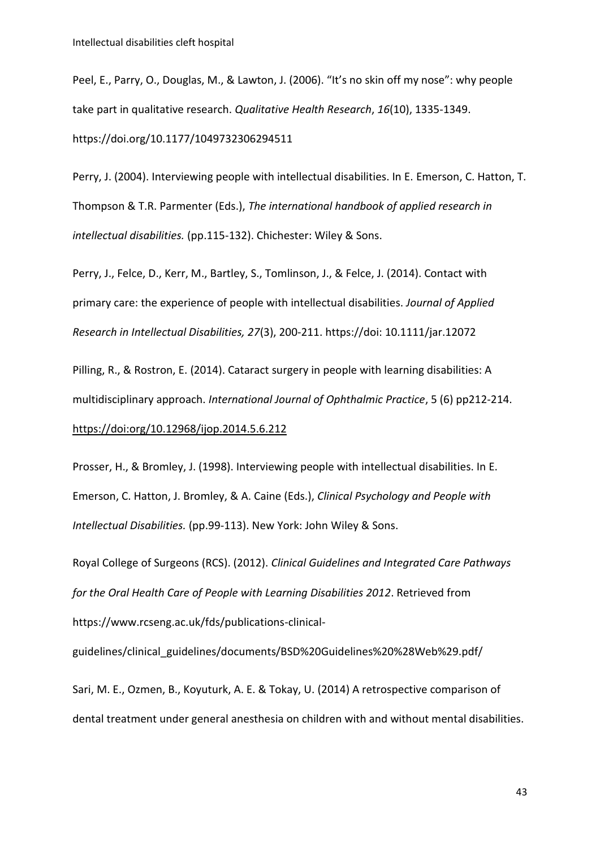Peel, E., Parry, O., Douglas, M., & Lawton, J. (2006). "It's no skin off my nose": why people take part in qualitative research. *Qualitative Health Research*, *16*(10), 1335-1349. [https://doi.org/10.1177/1049732306294511](https://doi.org/10.1177%2F1049732306294511)

Perry, J. (2004). Interviewing people with intellectual disabilities. In E. Emerson, C. Hatton, T. Thompson & T.R. Parmenter (Eds.), *The international handbook of applied research in intellectual disabilities.* (pp.115-132). Chichester: Wiley & Sons.

Perry, J., Felce, D., Kerr, M., Bartley, S., Tomlinson, J., & Felce, J. (2014). Contact with primary care: the experience of people with intellectual disabilities. *Journal of Applied Research in Intellectual Disabilities, 27*(3), 200-211. https://doi: 10.1111/jar.12072

Pilling, R., & Rostron, E. (2014). Cataract surgery in people with learning disabilities: A multidisciplinary approach. *International Journal of Ophthalmic Practice*, 5 (6) pp212-214. <https://doi:org/10.12968/ijop.2014.5.6.212>

Prosser, H., & Bromley, J. (1998). Interviewing people with intellectual disabilities. In E. Emerson, C. Hatton, J. Bromley, & A. Caine (Eds.), *Clinical Psychology and People with Intellectual Disabilities.* (pp.99-113). New York: John Wiley & Sons.

Royal College of Surgeons (RCS). (2012). *Clinical Guidelines and Integrated Care Pathways for the Oral Health Care of People with Learning Disabilities 2012*. Retrieved from https://www.rcseng.ac.uk/fds/publications-clinical-

guidelines/clinical\_guidelines/documents/BSD%20Guidelines%20%28Web%29.pdf/

Sari, M. E., Ozmen, B., Koyuturk, A. E. & Tokay, U. (2014) A retrospective comparison of dental treatment under general anesthesia on children with and without mental disabilities.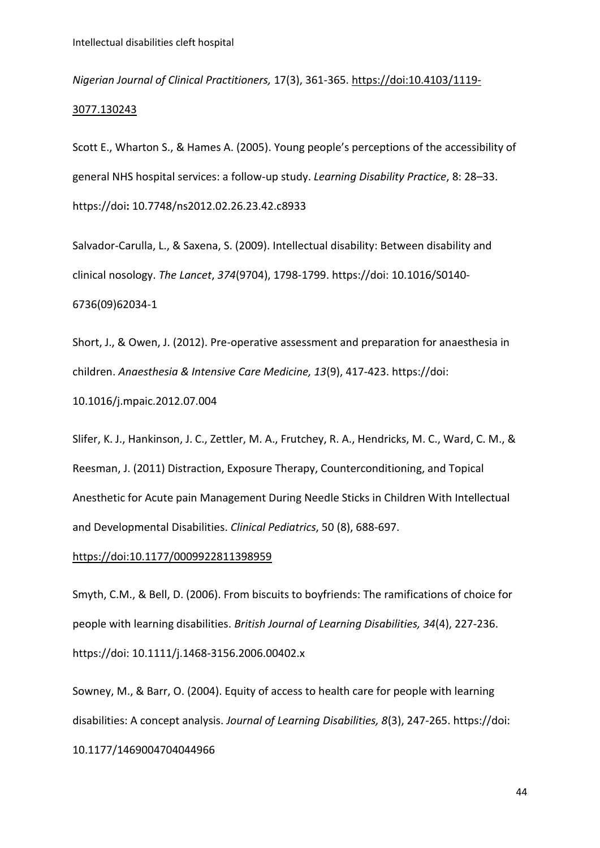*Nigerian Journal of Clinical Practitioners,* 17(3), 361-365. [https://doi:10.4103/1119-](https://doi:10.4103/1119-3077.130243) [3077.130243](https://doi:10.4103/1119-3077.130243)

Scott E., Wharton S., & Hames A. (2005). Young people's perceptions of the accessibility of general NHS hospital services: a follow-up study. *Learning Disability Practice*, 8: 28–33. https://doi**:** 10.7748/ns2012.02.26.23.42.c8933

Salvador-Carulla, L., & Saxena, S. (2009). Intellectual disability: Between disability and clinical nosology. *The Lancet*, *374*(9704), 1798-1799. https://doi: 10.1016/S0140- 6736(09)62034-1

Short, J., & Owen, J. (2012). Pre-operative assessment and preparation for anaesthesia in children. *Anaesthesia & Intensive Care Medicine, 13*(9), 417-423. https://doi:

10.1016/j.mpaic.2012.07.004

Slifer, K. J., Hankinson, J. C., Zettler, M. A., Frutchey, R. A., Hendricks, M. C., Ward, C. M., & Reesman, J. (2011) Distraction, Exposure Therapy, Counterconditioning, and Topical Anesthetic for Acute pain Management During Needle Sticks in Children With Intellectual and Developmental Disabilities. *Clinical Pediatrics*, 50 (8), 688-697.

#### <https://doi:10.1177/0009922811398959>

Smyth, C.M., & Bell, D. (2006). From biscuits to boyfriends: The ramifications of choice for people with learning disabilities. *British Journal of Learning Disabilities, 34*(4), 227-236. https://doi: 10.1111/j.1468-3156.2006.00402.x

Sowney, M., & Barr, O. (2004). Equity of access to health care for people with learning disabilities: A concept analysis. *Journal of Learning Disabilities, 8*(3), 247-265. https://doi: 10.1177/1469004704044966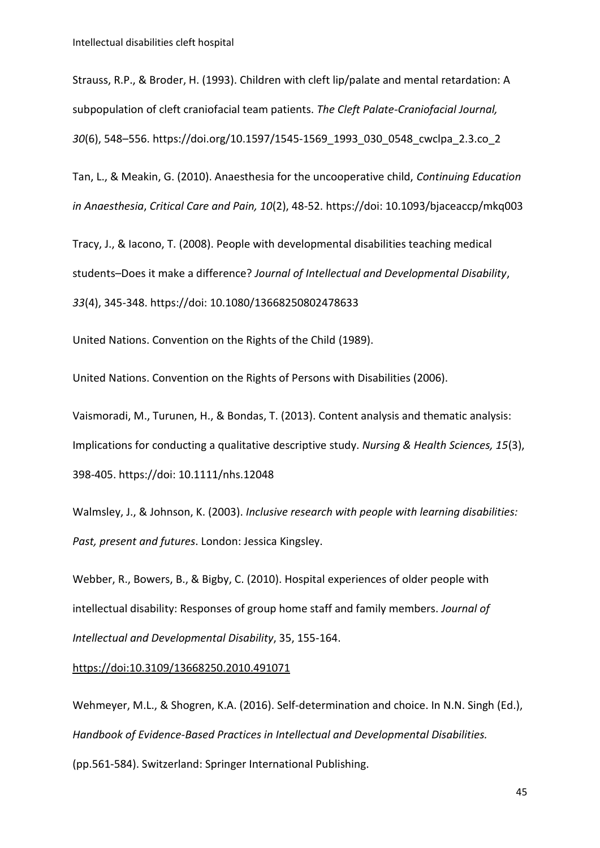Strauss, R.P., & Broder, H. (1993). Children with cleft lip/palate and mental retardation: A subpopulation of cleft craniofacial team patients. *The Cleft Palate-Craniofacial Journal, 30*(6), 548–556. [https://doi.org/10.1597/1545-1569\\_1993\\_030\\_0548\\_cwclpa\\_2.3.co\\_2](https://doi.org/10.1597%2F1545-1569_1993_030_0548_cwclpa_2.3.co_2)

Tan, L., & Meakin, G. (2010). Anaesthesia for the uncooperative child, *Continuing Education in Anaesthesia*, *Critical Care and Pain, 10*(2), 48-52. https://doi: 10.1093/bjaceaccp/mkq003

Tracy, J., & Iacono, T. (2008). People with developmental disabilities teaching medical students–Does it make a difference? *Journal of Intellectual and Developmental Disability*, *33*(4), 345-348. https://doi: 10.1080/13668250802478633

United Nations. Convention on the Rights of the Child (1989).

United Nations. Convention on the Rights of Persons with Disabilities (2006).

Vaismoradi, M., Turunen, H., & Bondas, T. (2013). Content analysis and thematic analysis: Implications for conducting a qualitative descriptive study. *Nursing & Health Sciences, 15*(3), 398-405. https://doi: 10.1111/nhs.12048

Walmsley, J., & Johnson, K. (2003). *Inclusive research with people with learning disabilities: Past, present and futures*. London: Jessica Kingsley.

Webber, R., Bowers, B., & Bigby, C. (2010). Hospital experiences of older people with intellectual disability: Responses of group home staff and family members. *Journal of Intellectual and Developmental Disability*, 35, 155-164.

#### <https://doi:10.3109/13668250.2010.491071>

Wehmeyer, M.L., & Shogren, K.A. (2016). Self-determination and choice. In N.N. Singh (Ed.), *Handbook of Evidence-Based Practices in Intellectual and Developmental Disabilities.* (pp.561-584). Switzerland: Springer International Publishing.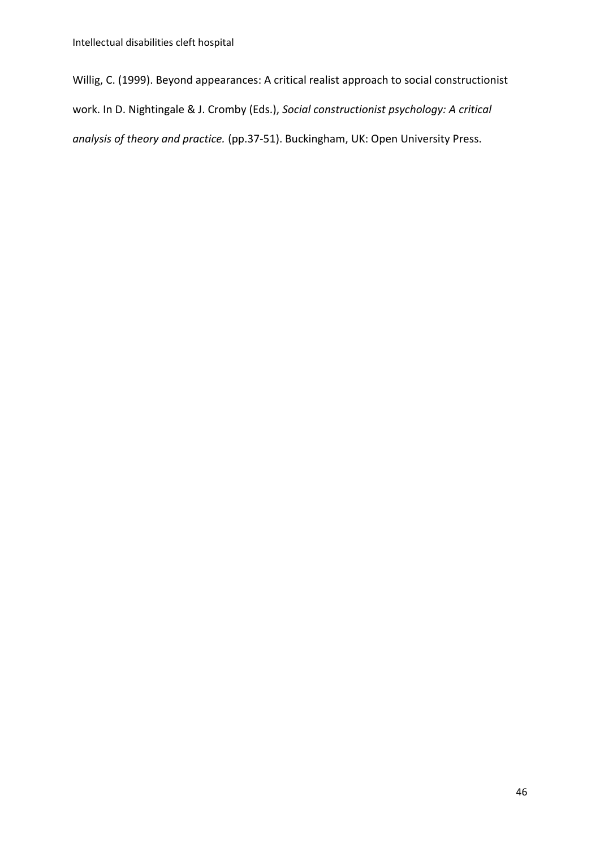Willig, C. (1999). Beyond appearances: A critical realist approach to social constructionist work. In D. Nightingale & J. Cromby (Eds.), *Social constructionist psychology: A critical analysis of theory and practice.* (pp.37-51). Buckingham, UK: Open University Press.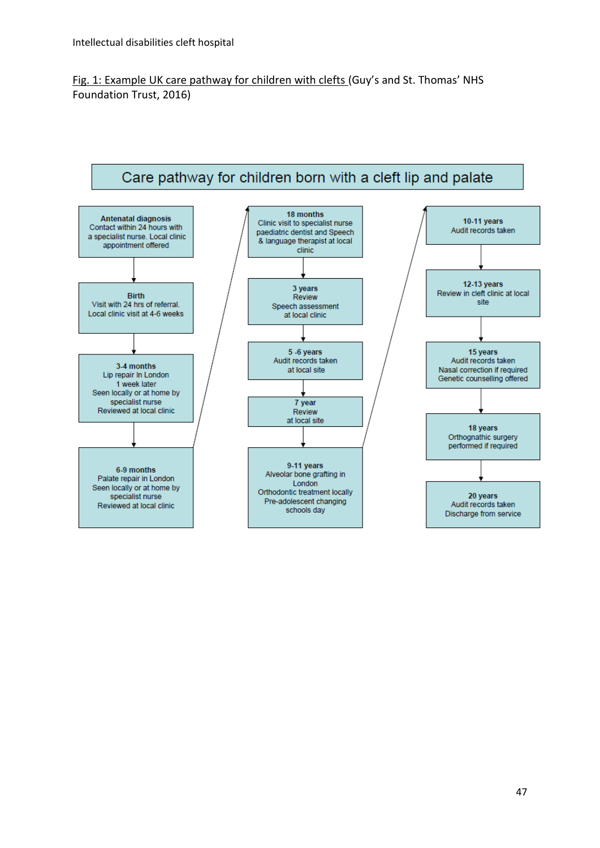Fig. 1: Example UK care pathway for children with clefts (Guy's and St. Thomas' NHS Foundation Trust, 2016)

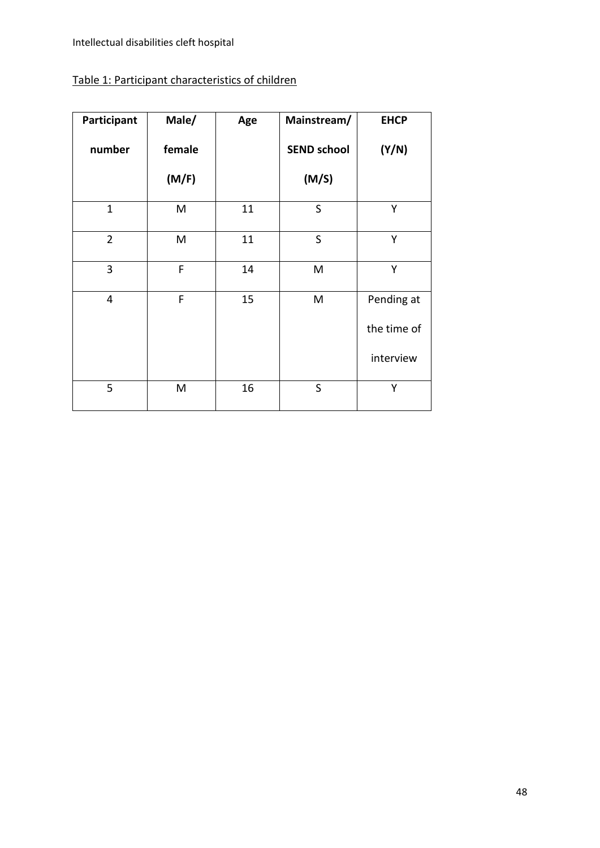## Table 1: Participant characteristics of children

| Participant    | Male/  | Age | Mainstream/        | <b>EHCP</b> |
|----------------|--------|-----|--------------------|-------------|
| number         | female |     | <b>SEND school</b> | (Y/N)       |
|                | (M/F)  |     | (M/S)              |             |
| $\mathbf{1}$   | M      | 11  | S                  | Y           |
| $\overline{2}$ | M      | 11  | $\mathsf{S}$       | Y           |
| 3              | F      | 14  | M                  | Y           |
| 4              | F      | 15  | M                  | Pending at  |
|                |        |     |                    | the time of |
|                |        |     |                    | interview   |
| 5              | M      | 16  | $\mathsf S$        | Υ           |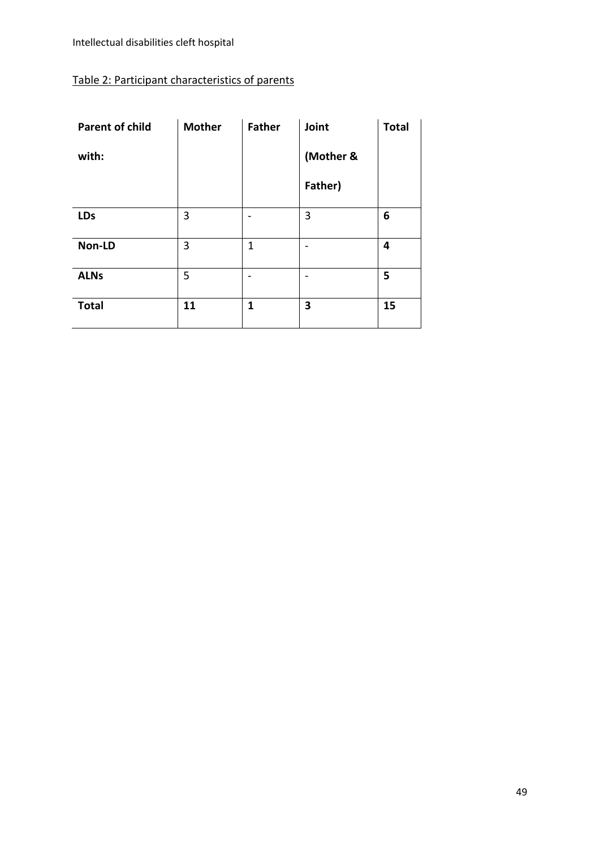## Table 2: Participant characteristics of parents

| <b>Parent of child</b> | <b>Mother</b> | <b>Father</b> | Joint     | <b>Total</b> |
|------------------------|---------------|---------------|-----------|--------------|
| with:                  |               |               | (Mother & |              |
|                        |               |               | Father)   |              |
| <b>LDs</b>             | 3             |               | 3         | 6            |
| Non-LD                 | 3             | 1             |           | 4            |
| <b>ALNs</b>            | 5             |               |           | 5            |
| <b>Total</b>           | 11            | 1             | 3         | 15           |